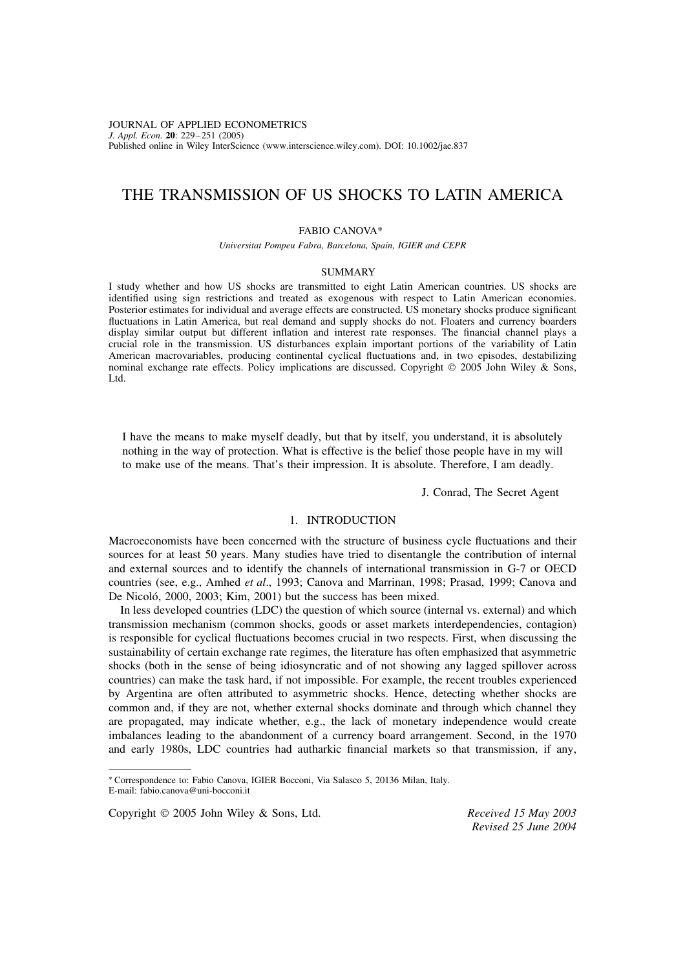#### JOURNAL OF APPLIED ECONOMETRICS *J. Appl. Econ.* **20**: 229–251 (2005) Published online in Wiley InterScience (www.interscience.wiley.com). DOI: 10.1002/jae.837

# THE TRANSMISSION OF US SHOCKS TO LATIN AMERICA

#### FABIO CANOVA\*

*Universitat Pompeu Fabra, Barcelona, Spain, IGIER and CEPR*

#### SUMMARY

I study whether and how US shocks are transmitted to eight Latin American countries. US shocks are identified using sign restrictions and treated as exogenous with respect to Latin American economies. Posterior estimates for individual and average effects are constructed. US monetary shocks produce significant fluctuations in Latin America, but real demand and supply shocks do not. Floaters and currency boarders display similar output but different inflation and interest rate responses. The financial channel plays a crucial role in the transmission. US disturbances explain important portions of the variability of Latin American macrovariables, producing continental cyclical fluctuations and, in two episodes, destabilizing nominal exchange rate effects. Policy implications are discussed. Copyright  $\odot$  2005 John Wiley & Sons, L<sub>td</sub>

I have the means to make myself deadly, but that by itself, you understand, it is absolutely nothing in the way of protection. What is effective is the belief those people have in my will to make use of the means. That's their impression. It is absolute. Therefore, I am deadly.

J. Conrad, The Secret Agent

## 1. INTRODUCTION

Macroeconomists have been concerned with the structure of business cycle fluctuations and their sources for at least 50 years. Many studies have tried to disentangle the contribution of internal and external sources and to identify the channels of international transmission in G-7 or OECD countries (see, e.g., Amhed *et al*., 1993; Canova and Marrinan, 1998; Prasad, 1999; Canova and De Nicoló, 2000, 2003; Kim, 2001) but the success has been mixed.

In less developed countries (LDC) the question of which source (internal vs. external) and which transmission mechanism (common shocks, goods or asset markets interdependencies, contagion) is responsible for cyclical fluctuations becomes crucial in two respects. First, when discussing the sustainability of certain exchange rate regimes, the literature has often emphasized that asymmetric shocks (both in the sense of being idiosyncratic and of not showing any lagged spillover across countries) can make the task hard, if not impossible. For example, the recent troubles experienced by Argentina are often attributed to asymmetric shocks. Hence, detecting whether shocks are common and, if they are not, whether external shocks dominate and through which channel they are propagated, may indicate whether, e.g., the lack of monetary independence would create imbalances leading to the abandonment of a currency board arrangement. Second, in the 1970 and early 1980s, LDC countries had autharkic financial markets so that transmission, if any,

Copyright 2005 John Wiley & Sons, Ltd. *Received 15 May 2003*

*Revised 25 June 2004*

<sup>Ł</sup> Correspondence to: Fabio Canova, IGIER Bocconi, Via Salasco 5, 20136 Milan, Italy. E-mail: fabio.canova@uni-bocconi.it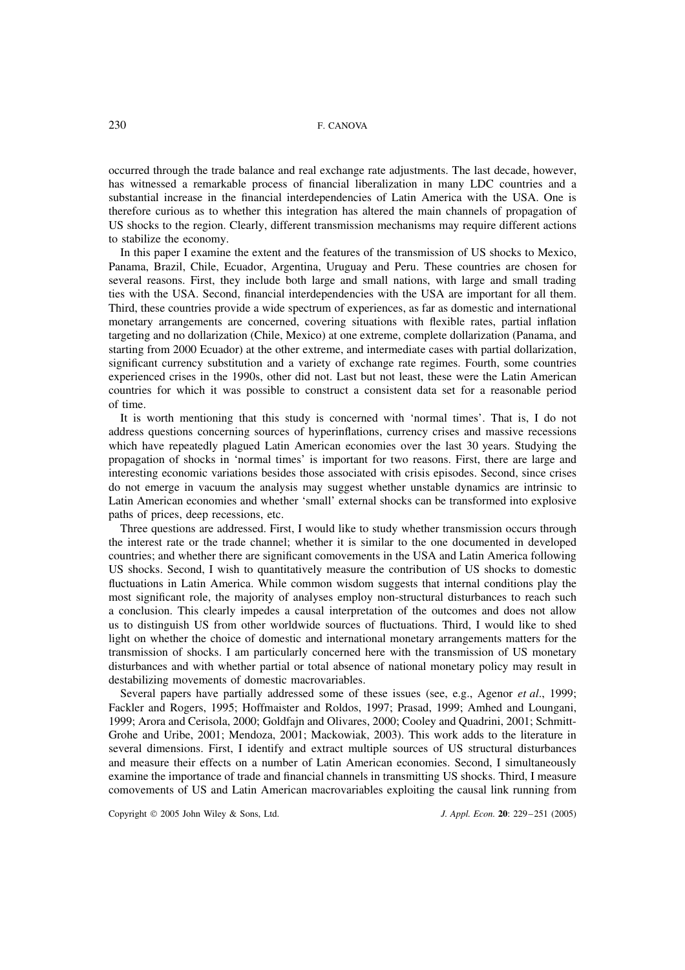occurred through the trade balance and real exchange rate adjustments. The last decade, however, has witnessed a remarkable process of financial liberalization in many LDC countries and a substantial increase in the financial interdependencies of Latin America with the USA. One is therefore curious as to whether this integration has altered the main channels of propagation of US shocks to the region. Clearly, different transmission mechanisms may require different actions to stabilize the economy.

In this paper I examine the extent and the features of the transmission of US shocks to Mexico, Panama, Brazil, Chile, Ecuador, Argentina, Uruguay and Peru. These countries are chosen for several reasons. First, they include both large and small nations, with large and small trading ties with the USA. Second, financial interdependencies with the USA are important for all them. Third, these countries provide a wide spectrum of experiences, as far as domestic and international monetary arrangements are concerned, covering situations with flexible rates, partial inflation targeting and no dollarization (Chile, Mexico) at one extreme, complete dollarization (Panama, and starting from 2000 Ecuador) at the other extreme, and intermediate cases with partial dollarization, significant currency substitution and a variety of exchange rate regimes. Fourth, some countries experienced crises in the 1990s, other did not. Last but not least, these were the Latin American countries for which it was possible to construct a consistent data set for a reasonable period of time.

It is worth mentioning that this study is concerned with 'normal times'. That is, I do not address questions concerning sources of hyperinflations, currency crises and massive recessions which have repeatedly plagued Latin American economies over the last 30 years. Studying the propagation of shocks in 'normal times' is important for two reasons. First, there are large and interesting economic variations besides those associated with crisis episodes. Second, since crises do not emerge in vacuum the analysis may suggest whether unstable dynamics are intrinsic to Latin American economies and whether 'small' external shocks can be transformed into explosive paths of prices, deep recessions, etc.

Three questions are addressed. First, I would like to study whether transmission occurs through the interest rate or the trade channel; whether it is similar to the one documented in developed countries; and whether there are significant comovements in the USA and Latin America following US shocks. Second, I wish to quantitatively measure the contribution of US shocks to domestic fluctuations in Latin America. While common wisdom suggests that internal conditions play the most significant role, the majority of analyses employ non-structural disturbances to reach such a conclusion. This clearly impedes a causal interpretation of the outcomes and does not allow us to distinguish US from other worldwide sources of fluctuations. Third, I would like to shed light on whether the choice of domestic and international monetary arrangements matters for the transmission of shocks. I am particularly concerned here with the transmission of US monetary disturbances and with whether partial or total absence of national monetary policy may result in destabilizing movements of domestic macrovariables.

Several papers have partially addressed some of these issues (see, e.g., Agenor *et al*., 1999; Fackler and Rogers, 1995; Hoffmaister and Roldos, 1997; Prasad, 1999; Amhed and Loungani, 1999; Arora and Cerisola, 2000; Goldfajn and Olivares, 2000; Cooley and Quadrini, 2001; Schmitt-Grohe and Uribe, 2001; Mendoza, 2001; Mackowiak, 2003). This work adds to the literature in several dimensions. First, I identify and extract multiple sources of US structural disturbances and measure their effects on a number of Latin American economies. Second, I simultaneously examine the importance of trade and financial channels in transmitting US shocks. Third, I measure comovements of US and Latin American macrovariables exploiting the causal link running from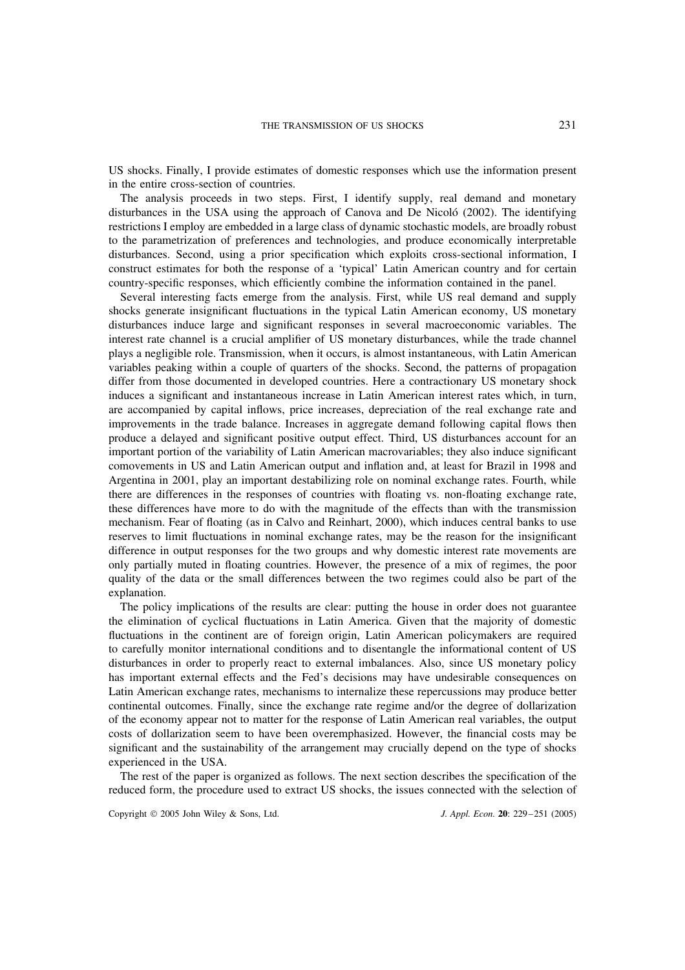US shocks. Finally, I provide estimates of domestic responses which use the information present in the entire cross-section of countries.

The analysis proceeds in two steps. First, I identify supply, real demand and monetary disturbances in the USA using the approach of Canova and De Nicoló (2002). The identifying restrictions I employ are embedded in a large class of dynamic stochastic models, are broadly robust to the parametrization of preferences and technologies, and produce economically interpretable disturbances. Second, using a prior specification which exploits cross-sectional information, I construct estimates for both the response of a 'typical' Latin American country and for certain country-specific responses, which efficiently combine the information contained in the panel.

Several interesting facts emerge from the analysis. First, while US real demand and supply shocks generate insignificant fluctuations in the typical Latin American economy, US monetary disturbances induce large and significant responses in several macroeconomic variables. The interest rate channel is a crucial amplifier of US monetary disturbances, while the trade channel plays a negligible role. Transmission, when it occurs, is almost instantaneous, with Latin American variables peaking within a couple of quarters of the shocks. Second, the patterns of propagation differ from those documented in developed countries. Here a contractionary US monetary shock induces a significant and instantaneous increase in Latin American interest rates which, in turn, are accompanied by capital inflows, price increases, depreciation of the real exchange rate and improvements in the trade balance. Increases in aggregate demand following capital flows then produce a delayed and significant positive output effect. Third, US disturbances account for an important portion of the variability of Latin American macrovariables; they also induce significant comovements in US and Latin American output and inflation and, at least for Brazil in 1998 and Argentina in 2001, play an important destabilizing role on nominal exchange rates. Fourth, while there are differences in the responses of countries with floating vs. non-floating exchange rate, these differences have more to do with the magnitude of the effects than with the transmission mechanism. Fear of floating (as in Calvo and Reinhart, 2000), which induces central banks to use reserves to limit fluctuations in nominal exchange rates, may be the reason for the insignificant difference in output responses for the two groups and why domestic interest rate movements are only partially muted in floating countries. However, the presence of a mix of regimes, the poor quality of the data or the small differences between the two regimes could also be part of the explanation.

The policy implications of the results are clear: putting the house in order does not guarantee the elimination of cyclical fluctuations in Latin America. Given that the majority of domestic fluctuations in the continent are of foreign origin, Latin American policymakers are required to carefully monitor international conditions and to disentangle the informational content of US disturbances in order to properly react to external imbalances. Also, since US monetary policy has important external effects and the Fed's decisions may have undesirable consequences on Latin American exchange rates, mechanisms to internalize these repercussions may produce better continental outcomes. Finally, since the exchange rate regime and/or the degree of dollarization of the economy appear not to matter for the response of Latin American real variables, the output costs of dollarization seem to have been overemphasized. However, the financial costs may be significant and the sustainability of the arrangement may crucially depend on the type of shocks experienced in the USA.

The rest of the paper is organized as follows. The next section describes the specification of the reduced form, the procedure used to extract US shocks, the issues connected with the selection of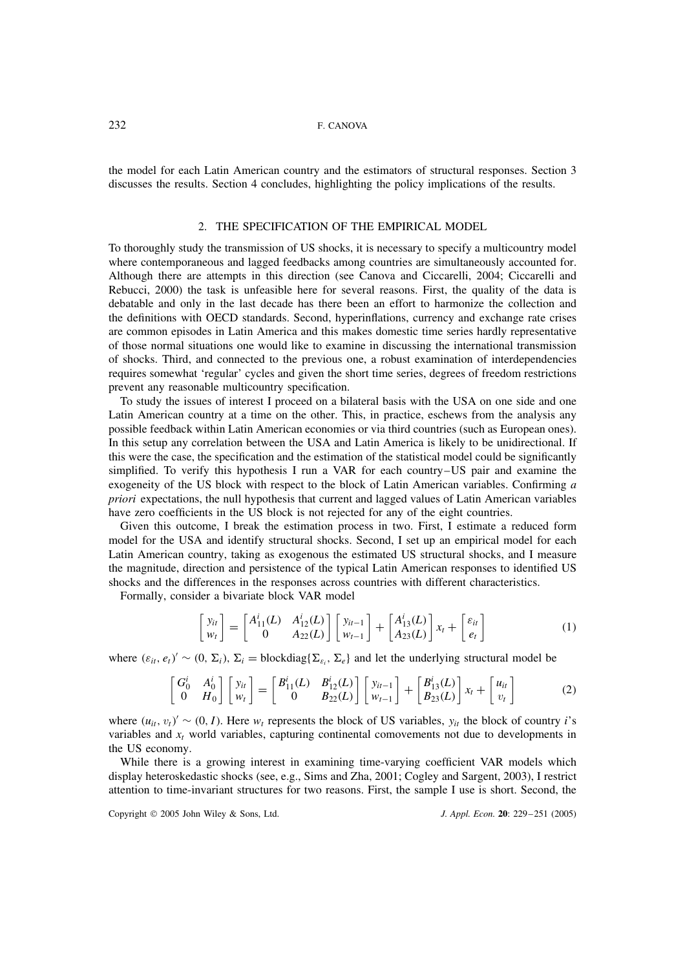the model for each Latin American country and the estimators of structural responses. Section 3 discusses the results. Section 4 concludes, highlighting the policy implications of the results.

# 2. THE SPECIFICATION OF THE EMPIRICAL MODEL

To thoroughly study the transmission of US shocks, it is necessary to specify a multicountry model where contemporaneous and lagged feedbacks among countries are simultaneously accounted for. Although there are attempts in this direction (see Canova and Ciccarelli, 2004; Ciccarelli and Rebucci, 2000) the task is unfeasible here for several reasons. First, the quality of the data is debatable and only in the last decade has there been an effort to harmonize the collection and the definitions with OECD standards. Second, hyperinflations, currency and exchange rate crises are common episodes in Latin America and this makes domestic time series hardly representative of those normal situations one would like to examine in discussing the international transmission of shocks. Third, and connected to the previous one, a robust examination of interdependencies requires somewhat 'regular' cycles and given the short time series, degrees of freedom restrictions prevent any reasonable multicountry specification.

To study the issues of interest I proceed on a bilateral basis with the USA on one side and one Latin American country at a time on the other. This, in practice, eschews from the analysis any possible feedback within Latin American economies or via third countries (such as European ones). In this setup any correlation between the USA and Latin America is likely to be unidirectional. If this were the case, the specification and the estimation of the statistical model could be significantly simplified. To verify this hypothesis I run a VAR for each country–US pair and examine the exogeneity of the US block with respect to the block of Latin American variables. Confirming *a priori* expectations, the null hypothesis that current and lagged values of Latin American variables have zero coefficients in the US block is not rejected for any of the eight countries.

Given this outcome, I break the estimation process in two. First, I estimate a reduced form model for the USA and identify structural shocks. Second, I set up an empirical model for each Latin American country, taking as exogenous the estimated US structural shocks, and I measure the magnitude, direction and persistence of the typical Latin American responses to identified US shocks and the differences in the responses across countries with different characteristics.

Formally, consider a bivariate block VAR model

$$
\begin{bmatrix} y_{it} \\ w_t \end{bmatrix} = \begin{bmatrix} A_{11}^i(L) & A_{12}^i(L) \\ 0 & A_{22}(L) \end{bmatrix} \begin{bmatrix} y_{it-1} \\ w_{t-1} \end{bmatrix} + \begin{bmatrix} A_{13}^i(L) \\ A_{23}(L) \end{bmatrix} x_t + \begin{bmatrix} \varepsilon_{it} \\ e_t \end{bmatrix}
$$
 (1)

where  $(\varepsilon_{it}, e_t)' \sim (0, \Sigma_i)$ ,  $\Sigma_i = \text{blockdiag}\{\Sigma_{\varepsilon_i}, \Sigma_e\}$  and let the underlying structural model be

$$
\begin{bmatrix} G_0^i & A_0^i \\ 0 & H_0 \end{bmatrix} \begin{bmatrix} y_{it} \\ w_t \end{bmatrix} = \begin{bmatrix} B_{11}^i(L) & B_{12}^i(L) \\ 0 & B_{22}(L) \end{bmatrix} \begin{bmatrix} y_{it-1} \\ w_{t-1} \end{bmatrix} + \begin{bmatrix} B_{13}^i(L) \\ B_{23}(L) \end{bmatrix} x_t + \begin{bmatrix} u_{it} \\ v_t \end{bmatrix} \tag{2}
$$

where  $(u_{it}, v_t)' \sim (0, I)$ . Here  $w_t$  represents the block of US variables,  $y_{it}$  the block of country *i*'s variables and  $x_t$  world variables, capturing continental comovements not due to developments in the US economy.

While there is a growing interest in examining time-varying coefficient VAR models which display heteroskedastic shocks (see, e.g., Sims and Zha, 2001; Cogley and Sargent, 2003), I restrict attention to time-invariant structures for two reasons. First, the sample I use is short. Second, the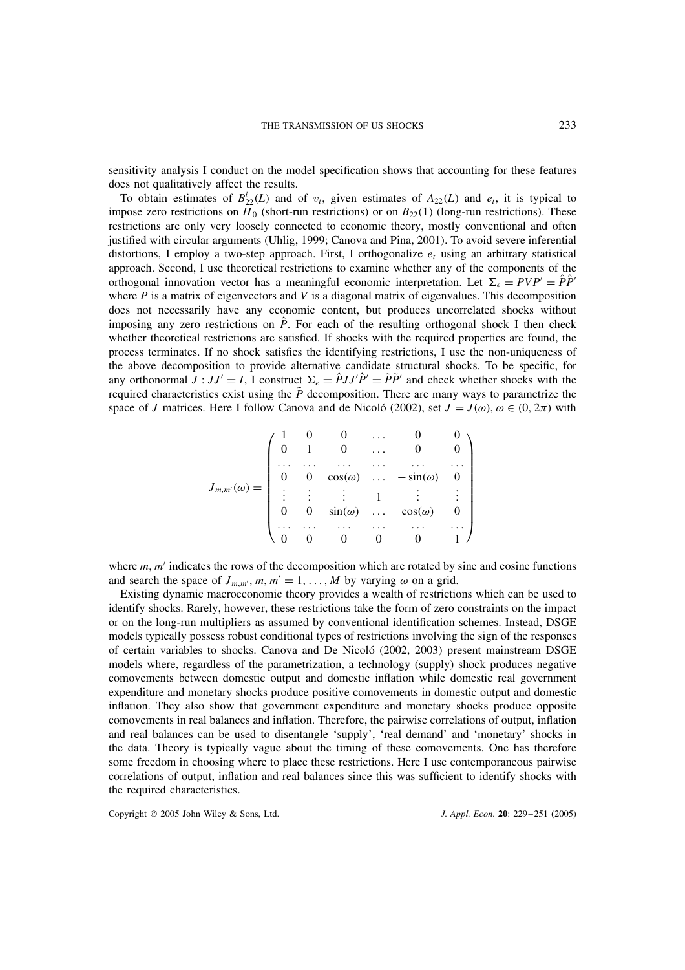sensitivity analysis I conduct on the model specification shows that accounting for these features does not qualitatively affect the results.

To obtain estimates of  $B_{22}^i(L)$  and of  $v_t$ , given estimates of  $A_{22}(L)$  and  $e_t$ , it is typical to impose zero restrictions on  $H_0$  (short-run restrictions) or on  $B_{22}(1)$  (long-run restrictions). These restrictions are only very loosely connected to economic theory, mostly conventional and often justified with circular arguments (Uhlig, 1999; Canova and Pina, 2001). To avoid severe inferential distortions, I employ a two-step approach. First, I orthogonalize  $e_t$  using an arbitrary statistical approach. Second, I use theoretical restrictions to examine whether any of the components of the orthogonal innovation vector has a meaningful economic interpretation. Let  $\Sigma_e = PVP' = \hat{P}\hat{P}'$ where  $P$  is a matrix of eigenvectors and  $V$  is a diagonal matrix of eigenvalues. This decomposition does not necessarily have any economic content, but produces uncorrelated shocks without imposing any zero restrictions on  $\hat{P}$ . For each of the resulting orthogonal shock I then check whether theoretical restrictions are satisfied. If shocks with the required properties are found, the process terminates. If no shock satisfies the identifying restrictions, I use the non-uniqueness of the above decomposition to provide alternative candidate structural shocks. To be specific, for any orthonormal  $J : JJ' = I$ , I construct  $\Sigma_e = \hat{P}JJ'\hat{P}' = \tilde{P}\tilde{P}'$  and check whether shocks with the required characteristics exist using the  $\tilde{P}$  decomposition. There are many ways to parametrize the space of J matrices. Here I follow Canova and de Nicoló (2002), set  $J = J(\omega)$ ,  $\omega \in (0, 2\pi)$  with

$$
J_{m,m'}(\omega) = \begin{pmatrix} 1 & 0 & 0 & \dots & 0 & 0 \\ 0 & 1 & 0 & \dots & 0 & 0 \\ \dots & \dots & \dots & \dots & \dots & \dots \\ 0 & 0 & \cos(\omega) & \dots & -\sin(\omega) & 0 \\ \vdots & \vdots & \vdots & 1 & \vdots & \vdots \\ 0 & 0 & \sin(\omega) & \dots & \cos(\omega) & 0 \\ \dots & \dots & \dots & \dots & \dots & \dots \\ 0 & 0 & 0 & 0 & 0 & 1 \end{pmatrix}
$$

where  $m, m'$  indicates the rows of the decomposition which are rotated by sine and cosine functions and search the space of  $J_{m,m'}$ ,  $m, m' = 1, \ldots, M$  by varying  $\omega$  on a grid.

Existing dynamic macroeconomic theory provides a wealth of restrictions which can be used to identify shocks. Rarely, however, these restrictions take the form of zero constraints on the impact or on the long-run multipliers as assumed by conventional identification schemes. Instead, DSGE models typically possess robust conditional types of restrictions involving the sign of the responses of certain variables to shocks. Canova and De Nicolo (2002, 2003) present mainstream DSGE ´ models where, regardless of the parametrization, a technology (supply) shock produces negative comovements between domestic output and domestic inflation while domestic real government expenditure and monetary shocks produce positive comovements in domestic output and domestic inflation. They also show that government expenditure and monetary shocks produce opposite comovements in real balances and inflation. Therefore, the pairwise correlations of output, inflation and real balances can be used to disentangle 'supply', 'real demand' and 'monetary' shocks in the data. Theory is typically vague about the timing of these comovements. One has therefore some freedom in choosing where to place these restrictions. Here I use contemporaneous pairwise correlations of output, inflation and real balances since this was sufficient to identify shocks with the required characteristics.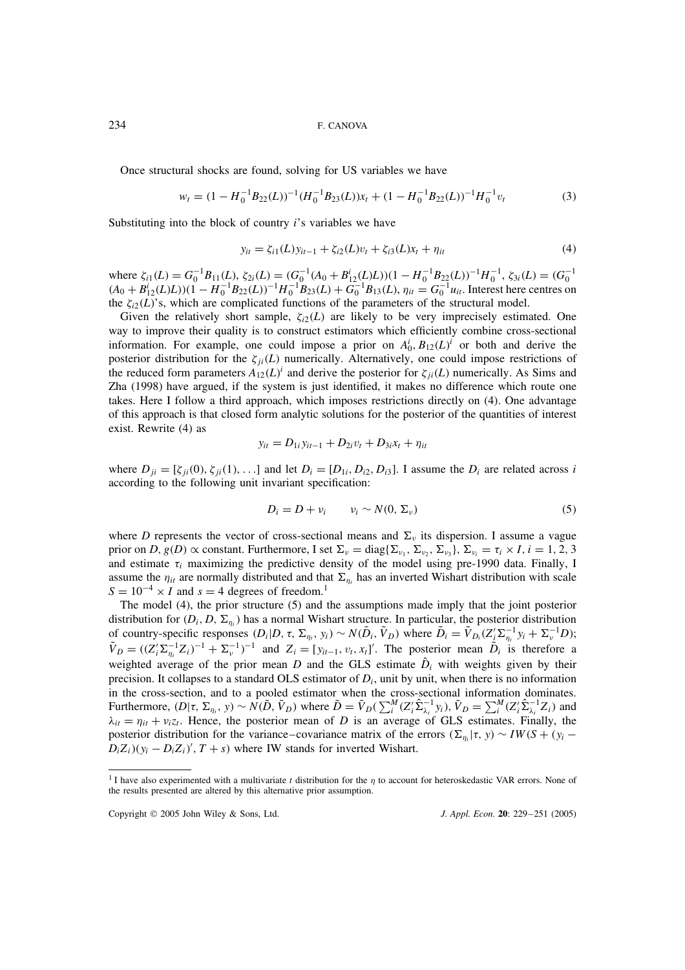Once structural shocks are found, solving for US variables we have

$$
w_t = (1 - H_0^{-1}B_{22}(L))^{-1}(H_0^{-1}B_{23}(L))x_t + (1 - H_0^{-1}B_{22}(L))^{-1}H_0^{-1}v_t
$$
\n(3)

Substituting into the block of country  $i$ 's variables we have

$$
y_{it} = \zeta_{i1}(L)y_{it-1} + \zeta_{i2}(L)v_t + \zeta_{i3}(L)x_t + \eta_{it}
$$
\n(4)

where  $\xi_{i1}(L) = G_0^{-1}B_{11}(L)$ ,  $\xi_{2i}(L) = (G_0^{-1}(A_0 + B_{12}^i(L)L))(1 - H_0^{-1}B_{22}(L))^{-1}H_0^{-1}$ ,  $\xi_{3i}(L) = (G_0^{-1}(A_0 + B_{12}^i(L)L))(1 - H_0^{-1}B_{22}(L))^{-1}H_0^{-1}B_{23}(L) + G_0^{-1}B_{13}(L)$ ,  $\eta_{it} = G_0^{-1}u_{it}$ . Interest here centres on the  $\zeta_{i2}(L)$ 's, which are complicated functions of the parameters of the structural model.

Given the relatively short sample,  $\zeta_{i2}(L)$  are likely to be very imprecisely estimated. One way to improve their quality is to construct estimators which efficiently combine cross-sectional information. For example, one could impose a prior on  $A_0^i$ ,  $B_{12}(L)^i$  or both and derive the posterior distribution for the  $\zeta_{ji}(L)$  numerically. Alternatively, one could impose restrictions of the reduced form parameters  $A_{12}(L)^i$  and derive the posterior for  $\zeta_{ji}(L)$  numerically. As Sims and Zha (1998) have argued, if the system is just identified, it makes no difference which route one takes. Here I follow a third approach, which imposes restrictions directly on (4). One advantage of this approach is that closed form analytic solutions for the posterior of the quantities of interest exist. Rewrite (4) as

$$
y_{it} = D_{1i}y_{it-1} + D_{2i}v_t + D_{3i}x_t + \eta_{it}
$$

where  $D_{ji} = [\zeta_{ji}(0), \zeta_{ji}(1), \ldots]$  and let  $D_i = [D_{1i}, D_{i2}, D_{i3}]$ . I assume the  $D_i$  are related across i according to the following unit invariant specification:

$$
D_i = D + \nu_i \qquad \nu_i \sim N(0, \Sigma_{\nu})
$$
\n<sup>(5)</sup>

where D represents the vector of cross-sectional means and  $\Sigma_{\nu}$  its dispersion. I assume a vague prior on D,  $g(D) \propto$  constant. Furthermore, I set  $\Sigma_{\nu} = \text{diag}\{\Sigma_{\nu_1}, \Sigma_{\nu_2}, \Sigma_{\nu_3}\}\$ ,  $\Sigma_{\nu_i} = \tau_i \times I$ ,  $i = 1, 2, 3$ and estimate  $\tau_i$  maximizing the predictive density of the model using pre-1990 data. Finally, I assume the  $\eta_{it}$  are normally distributed and that  $\Sigma_{\eta_i}$  has an inverted Wishart distribution with scale  $S = 10^{-4} \times I$  and  $s = 4$  degrees of freedom.<sup>1</sup>

The model (4), the prior structure (5) and the assumptions made imply that the joint posterior distribution for  $(D_i, D, \Sigma_{\eta_i})$  has a normal Wishart structure. In particular, the posterior distribution of country-specific responses  $(D_i|D, \tau, \Sigma_{\eta_i}, y_i) \sim N(\tilde{D}_i, \tilde{V}_D)$  where  $\tilde{D}_i = \tilde{V}_{D_i}(Z_i' \Sigma_{\eta_i}^{-1} y_i + \Sigma_{\nu}^{-1} D)$ ;  $\tilde{V}_D = ((Z_i^{\prime} \Sigma_{\eta_i}^{-1} Z_i)^{-1} + \Sigma_{\nu}^{-1})^{-1}$  and  $Z_i = [y_{it-1}, v_t, x_t]$ . The posterior mean  $\tilde{D}_i$  is therefore a weighted average of the prior mean D and the GLS estimate  $\hat{D}_i$  with weights given by their precision. It collapses to a standard OLS estimator of  $D_i$ , unit by unit, when there is no information in the cross-section, and to a pooled estimator when the cross-sectional information dominates. Furthermore,  $(D|\tau, \Sigma_{\eta_i}, y) \sim N(\tilde{D}, \tilde{V}_D)$  where  $\tilde{D} = \tilde{V}_D(\sum_i^M (Z_i' \hat{\Sigma}_{\lambda_i}^{-1} y_i), \tilde{V}_D = \sum_i^M (Z_i' \hat{\Sigma}_{\lambda_i}^{-1} Z_i)$  and  $\lambda_{it} = \eta_{it} + \nu_i z_t$ . Hence, the posterior mean of D is an average of GLS estimates. Finally, the posterior distribution for the variance–covariance matrix of the errors  $(\Sigma_{\eta_i} | \tau, y) \sim IW(S + (y_i D_i Z_i$ )( $y_i - D_i Z_i$ )',  $T + s$ ) where IW stands for inverted Wishart.

<sup>&</sup>lt;sup>1</sup> I have also experimented with a multivariate t distribution for the  $n$  to account for heteroskedastic VAR errors. None of the results presented are altered by this alternative prior assumption.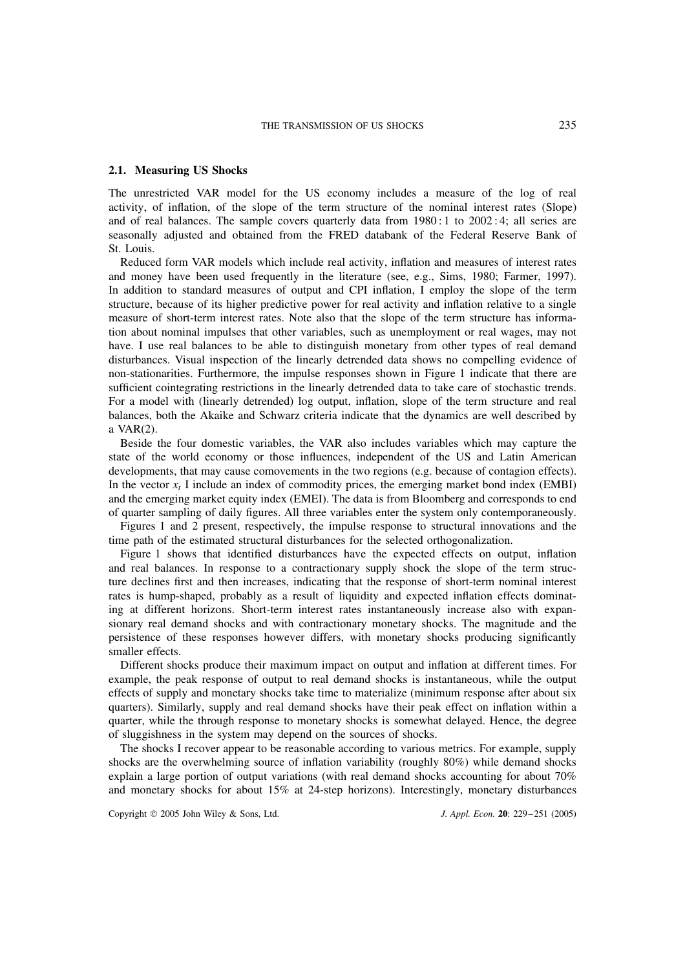# **2.1. Measuring US Shocks**

The unrestricted VAR model for the US economy includes a measure of the log of real activity, of inflation, of the slope of the term structure of the nominal interest rates (Slope) and of real balances. The sample covers quarterly data from 1980 : 1 to 2002 : 4; all series are seasonally adjusted and obtained from the FRED databank of the Federal Reserve Bank of St. Louis.

Reduced form VAR models which include real activity, inflation and measures of interest rates and money have been used frequently in the literature (see, e.g., Sims, 1980; Farmer, 1997). In addition to standard measures of output and CPI inflation, I employ the slope of the term structure, because of its higher predictive power for real activity and inflation relative to a single measure of short-term interest rates. Note also that the slope of the term structure has information about nominal impulses that other variables, such as unemployment or real wages, may not have. I use real balances to be able to distinguish monetary from other types of real demand disturbances. Visual inspection of the linearly detrended data shows no compelling evidence of non-stationarities. Furthermore, the impulse responses shown in Figure 1 indicate that there are sufficient cointegrating restrictions in the linearly detrended data to take care of stochastic trends. For a model with (linearly detrended) log output, inflation, slope of the term structure and real balances, both the Akaike and Schwarz criteria indicate that the dynamics are well described by a VAR(2).

Beside the four domestic variables, the VAR also includes variables which may capture the state of the world economy or those influences, independent of the US and Latin American developments, that may cause comovements in the two regions (e.g. because of contagion effects). In the vector  $x_t$  I include an index of commodity prices, the emerging market bond index (EMBI) and the emerging market equity index (EMEI). The data is from Bloomberg and corresponds to end of quarter sampling of daily figures. All three variables enter the system only contemporaneously.

Figures 1 and 2 present, respectively, the impulse response to structural innovations and the time path of the estimated structural disturbances for the selected orthogonalization.

Figure 1 shows that identified disturbances have the expected effects on output, inflation and real balances. In response to a contractionary supply shock the slope of the term structure declines first and then increases, indicating that the response of short-term nominal interest rates is hump-shaped, probably as a result of liquidity and expected inflation effects dominating at different horizons. Short-term interest rates instantaneously increase also with expansionary real demand shocks and with contractionary monetary shocks. The magnitude and the persistence of these responses however differs, with monetary shocks producing significantly smaller effects.

Different shocks produce their maximum impact on output and inflation at different times. For example, the peak response of output to real demand shocks is instantaneous, while the output effects of supply and monetary shocks take time to materialize (minimum response after about six quarters). Similarly, supply and real demand shocks have their peak effect on inflation within a quarter, while the through response to monetary shocks is somewhat delayed. Hence, the degree of sluggishness in the system may depend on the sources of shocks.

The shocks I recover appear to be reasonable according to various metrics. For example, supply shocks are the overwhelming source of inflation variability (roughly 80%) while demand shocks explain a large portion of output variations (with real demand shocks accounting for about 70% and monetary shocks for about 15% at 24-step horizons). Interestingly, monetary disturbances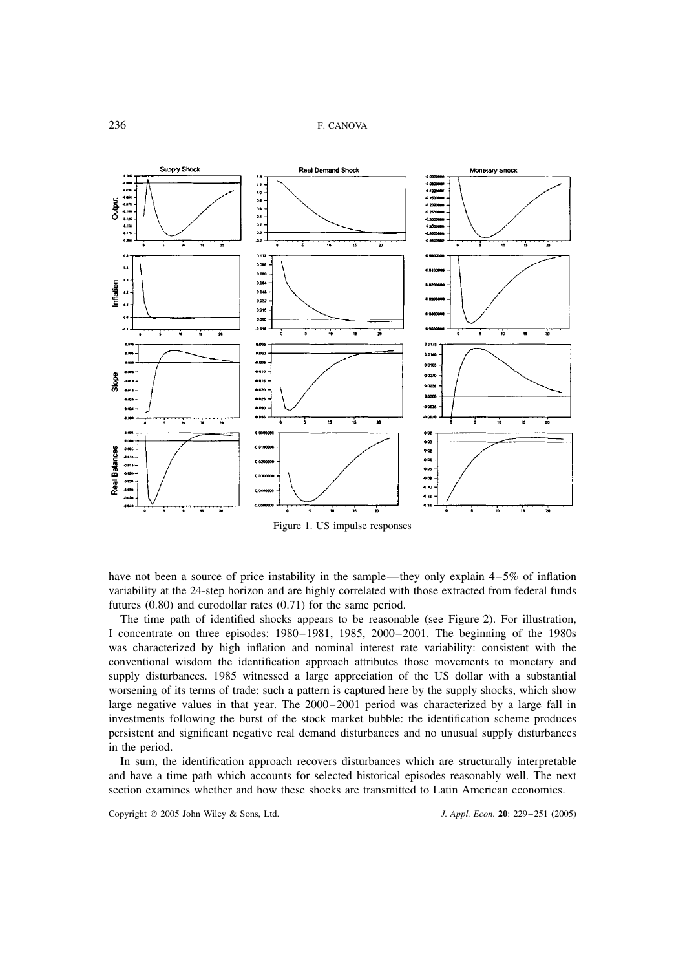

Figure 1. US impulse responses

have not been a source of price instability in the sample—they only explain 4–5% of inflation variability at the 24-step horizon and are highly correlated with those extracted from federal funds futures (0.80) and eurodollar rates (0.71) for the same period.

The time path of identified shocks appears to be reasonable (see Figure 2). For illustration, I concentrate on three episodes: 1980–1981, 1985, 2000–2001. The beginning of the 1980s was characterized by high inflation and nominal interest rate variability: consistent with the conventional wisdom the identification approach attributes those movements to monetary and supply disturbances. 1985 witnessed a large appreciation of the US dollar with a substantial worsening of its terms of trade: such a pattern is captured here by the supply shocks, which show large negative values in that year. The 2000–2001 period was characterized by a large fall in investments following the burst of the stock market bubble: the identification scheme produces persistent and significant negative real demand disturbances and no unusual supply disturbances in the period.

In sum, the identification approach recovers disturbances which are structurally interpretable and have a time path which accounts for selected historical episodes reasonably well. The next section examines whether and how these shocks are transmitted to Latin American economies.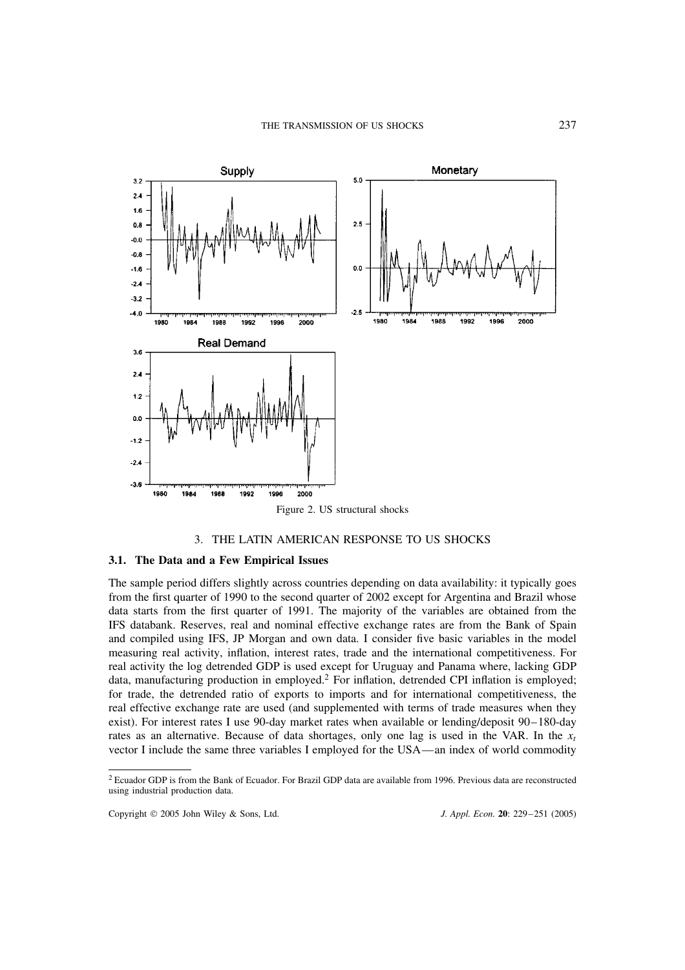

# 3. THE LATIN AMERICAN RESPONSE TO US SHOCKS

# **3.1. The Data and a Few Empirical Issues**

The sample period differs slightly across countries depending on data availability: it typically goes from the first quarter of 1990 to the second quarter of 2002 except for Argentina and Brazil whose data starts from the first quarter of 1991. The majority of the variables are obtained from the IFS databank. Reserves, real and nominal effective exchange rates are from the Bank of Spain and compiled using IFS, JP Morgan and own data. I consider five basic variables in the model measuring real activity, inflation, interest rates, trade and the international competitiveness. For real activity the log detrended GDP is used except for Uruguay and Panama where, lacking GDP data, manufacturing production in employed.<sup>2</sup> For inflation, detrended CPI inflation is employed; for trade, the detrended ratio of exports to imports and for international competitiveness, the real effective exchange rate are used (and supplemented with terms of trade measures when they exist). For interest rates I use 90-day market rates when available or lending/deposit 90–180-day rates as an alternative. Because of data shortages, only one lag is used in the VAR. In the  $x_t$ vector I include the same three variables I employed for the USA—an index of world commodity

<sup>&</sup>lt;sup>2</sup> Ecuador GDP is from the Bank of Ecuador. For Brazil GDP data are available from 1996. Previous data are reconstructed using industrial production data.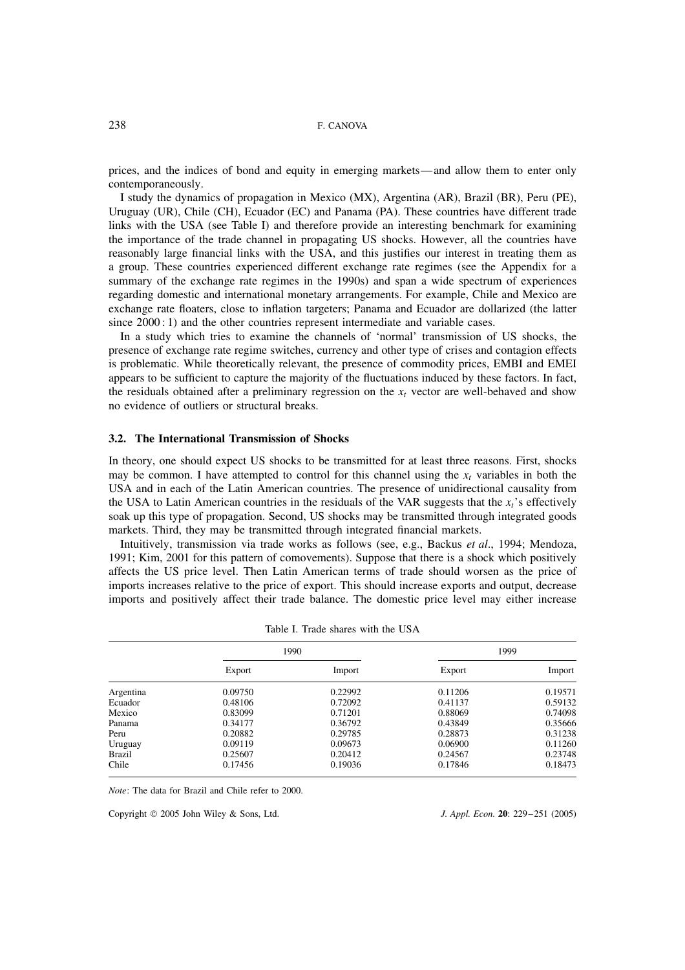prices, and the indices of bond and equity in emerging markets—and allow them to enter only contemporaneously.

I study the dynamics of propagation in Mexico (MX), Argentina (AR), Brazil (BR), Peru (PE), Uruguay (UR), Chile (CH), Ecuador (EC) and Panama (PA). These countries have different trade links with the USA (see Table I) and therefore provide an interesting benchmark for examining the importance of the trade channel in propagating US shocks. However, all the countries have reasonably large financial links with the USA, and this justifies our interest in treating them as a group. These countries experienced different exchange rate regimes (see the Appendix for a summary of the exchange rate regimes in the 1990s) and span a wide spectrum of experiences regarding domestic and international monetary arrangements. For example, Chile and Mexico are exchange rate floaters, close to inflation targeters; Panama and Ecuador are dollarized (the latter since  $2000:1$  and the other countries represent intermediate and variable cases.

In a study which tries to examine the channels of 'normal' transmission of US shocks, the presence of exchange rate regime switches, currency and other type of crises and contagion effects is problematic. While theoretically relevant, the presence of commodity prices, EMBI and EMEI appears to be sufficient to capture the majority of the fluctuations induced by these factors. In fact, the residuals obtained after a preliminary regression on the  $x_t$  vector are well-behaved and show no evidence of outliers or structural breaks.

# **3.2. The International Transmission of Shocks**

In theory, one should expect US shocks to be transmitted for at least three reasons. First, shocks may be common. I have attempted to control for this channel using the  $x_t$  variables in both the USA and in each of the Latin American countries. The presence of unidirectional causality from the USA to Latin American countries in the residuals of the VAR suggests that the  $x_t$ 's effectively soak up this type of propagation. Second, US shocks may be transmitted through integrated goods markets. Third, they may be transmitted through integrated financial markets.

Intuitively, transmission via trade works as follows (see, e.g., Backus *et al*., 1994; Mendoza, 1991; Kim, 2001 for this pattern of comovements). Suppose that there is a shock which positively affects the US price level. Then Latin American terms of trade should worsen as the price of imports increases relative to the price of export. This should increase exports and output, decrease imports and positively affect their trade balance. The domestic price level may either increase

|           |         | 1990    |         | 1999    |
|-----------|---------|---------|---------|---------|
|           | Export  | Import  | Export  | Import  |
| Argentina | 0.09750 | 0.22992 | 0.11206 | 0.19571 |
| Ecuador   | 0.48106 | 0.72092 | 0.41137 | 0.59132 |
| Mexico    | 0.83099 | 0.71201 | 0.88069 | 0.74098 |
| Panama    | 0.34177 | 0.36792 | 0.43849 | 0.35666 |
| Peru      | 0.20882 | 0.29785 | 0.28873 | 0.31238 |
| Uruguay   | 0.09119 | 0.09673 | 0.06900 | 0.11260 |
| Brazil    | 0.25607 | 0.20412 | 0.24567 | 0.23748 |
| Chile     | 0.17456 | 0.19036 | 0.17846 | 0.18473 |

|  | Table I. Trade shares with the USA |  |  |
|--|------------------------------------|--|--|
|  |                                    |  |  |

*Note*: The data for Brazil and Chile refer to 2000.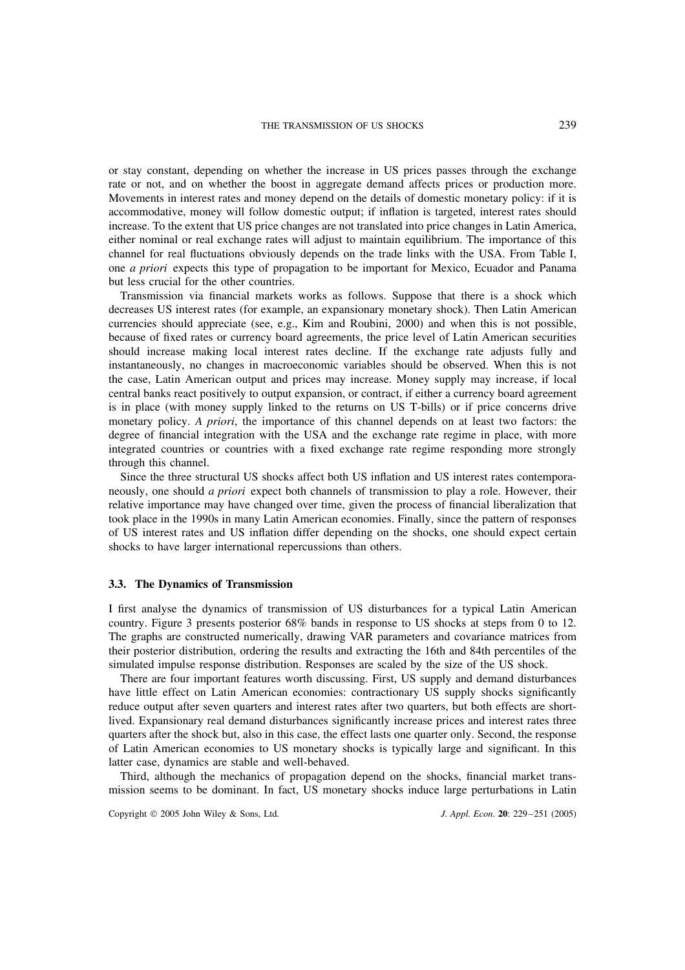or stay constant, depending on whether the increase in US prices passes through the exchange rate or not, and on whether the boost in aggregate demand affects prices or production more. Movements in interest rates and money depend on the details of domestic monetary policy: if it is accommodative, money will follow domestic output; if inflation is targeted, interest rates should increase. To the extent that US price changes are not translated into price changes in Latin America, either nominal or real exchange rates will adjust to maintain equilibrium. The importance of this channel for real fluctuations obviously depends on the trade links with the USA. From Table I, one *a priori* expects this type of propagation to be important for Mexico, Ecuador and Panama but less crucial for the other countries.

Transmission via financial markets works as follows. Suppose that there is a shock which decreases US interest rates (for example, an expansionary monetary shock). Then Latin American currencies should appreciate (see, e.g., Kim and Roubini, 2000) and when this is not possible, because of fixed rates or currency board agreements, the price level of Latin American securities should increase making local interest rates decline. If the exchange rate adjusts fully and instantaneously, no changes in macroeconomic variables should be observed. When this is not the case, Latin American output and prices may increase. Money supply may increase, if local central banks react positively to output expansion, or contract, if either a currency board agreement is in place (with money supply linked to the returns on US T-bills) or if price concerns drive monetary policy. *A priori*, the importance of this channel depends on at least two factors: the degree of financial integration with the USA and the exchange rate regime in place, with more integrated countries or countries with a fixed exchange rate regime responding more strongly through this channel.

Since the three structural US shocks affect both US inflation and US interest rates contemporaneously, one should *a priori* expect both channels of transmission to play a role. However, their relative importance may have changed over time, given the process of financial liberalization that took place in the 1990s in many Latin American economies. Finally, since the pattern of responses of US interest rates and US inflation differ depending on the shocks, one should expect certain shocks to have larger international repercussions than others.

## **3.3. The Dynamics of Transmission**

I first analyse the dynamics of transmission of US disturbances for a typical Latin American country. Figure 3 presents posterior 68% bands in response to US shocks at steps from 0 to 12. The graphs are constructed numerically, drawing VAR parameters and covariance matrices from their posterior distribution, ordering the results and extracting the 16th and 84th percentiles of the simulated impulse response distribution. Responses are scaled by the size of the US shock.

There are four important features worth discussing. First, US supply and demand disturbances have little effect on Latin American economies: contractionary US supply shocks significantly reduce output after seven quarters and interest rates after two quarters, but both effects are shortlived. Expansionary real demand disturbances significantly increase prices and interest rates three quarters after the shock but, also in this case, the effect lasts one quarter only. Second, the response of Latin American economies to US monetary shocks is typically large and significant. In this latter case, dynamics are stable and well-behaved.

Third, although the mechanics of propagation depend on the shocks, financial market transmission seems to be dominant. In fact, US monetary shocks induce large perturbations in Latin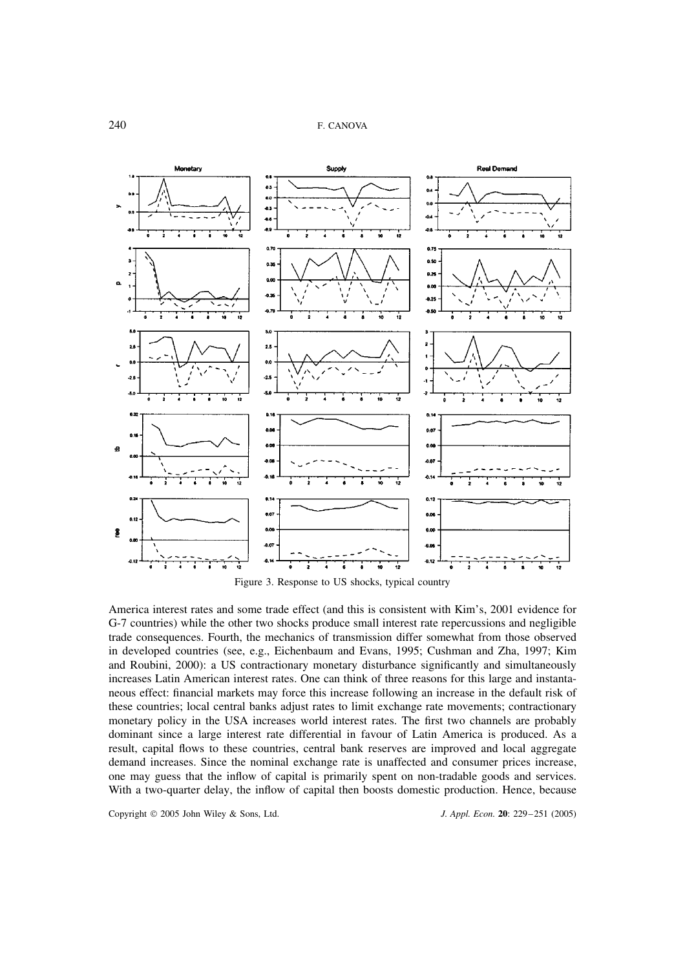

Figure 3. Response to US shocks, typical country

America interest rates and some trade effect (and this is consistent with Kim's, 2001 evidence for G-7 countries) while the other two shocks produce small interest rate repercussions and negligible trade consequences. Fourth, the mechanics of transmission differ somewhat from those observed in developed countries (see, e.g., Eichenbaum and Evans, 1995; Cushman and Zha, 1997; Kim and Roubini, 2000): a US contractionary monetary disturbance significantly and simultaneously increases Latin American interest rates. One can think of three reasons for this large and instantaneous effect: financial markets may force this increase following an increase in the default risk of these countries; local central banks adjust rates to limit exchange rate movements; contractionary monetary policy in the USA increases world interest rates. The first two channels are probably dominant since a large interest rate differential in favour of Latin America is produced. As a result, capital flows to these countries, central bank reserves are improved and local aggregate demand increases. Since the nominal exchange rate is unaffected and consumer prices increase, one may guess that the inflow of capital is primarily spent on non-tradable goods and services. With a two-quarter delay, the inflow of capital then boosts domestic production. Hence, because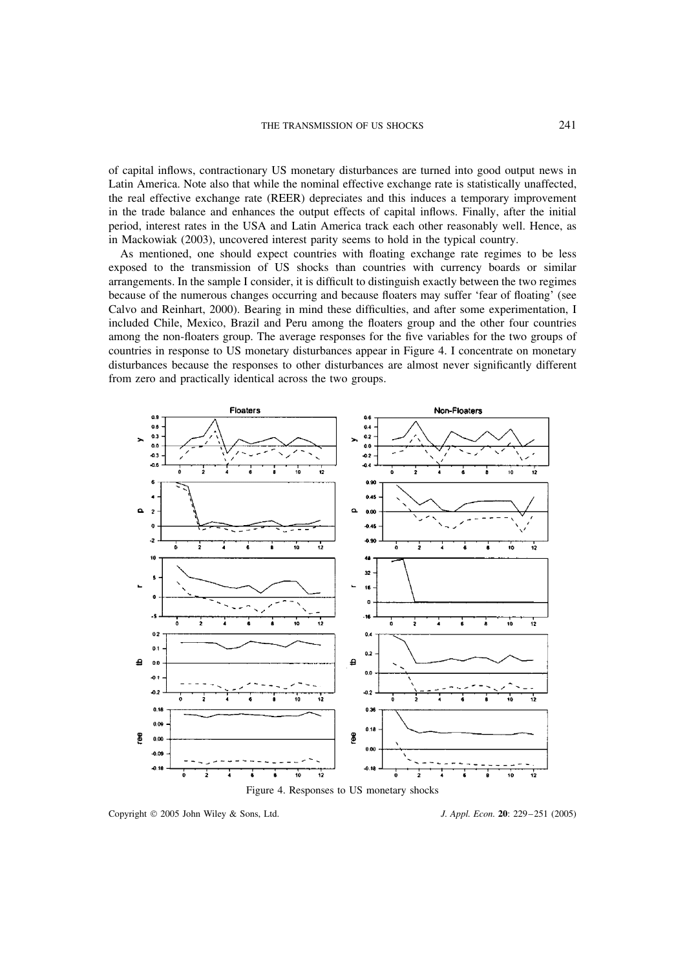of capital inflows, contractionary US monetary disturbances are turned into good output news in Latin America. Note also that while the nominal effective exchange rate is statistically unaffected, the real effective exchange rate (REER) depreciates and this induces a temporary improvement in the trade balance and enhances the output effects of capital inflows. Finally, after the initial period, interest rates in the USA and Latin America track each other reasonably well. Hence, as in Mackowiak (2003), uncovered interest parity seems to hold in the typical country.

As mentioned, one should expect countries with floating exchange rate regimes to be less exposed to the transmission of US shocks than countries with currency boards or similar arrangements. In the sample I consider, it is difficult to distinguish exactly between the two regimes because of the numerous changes occurring and because floaters may suffer 'fear of floating' (see Calvo and Reinhart, 2000). Bearing in mind these difficulties, and after some experimentation, I included Chile, Mexico, Brazil and Peru among the floaters group and the other four countries among the non-floaters group. The average responses for the five variables for the two groups of countries in response to US monetary disturbances appear in Figure 4. I concentrate on monetary disturbances because the responses to other disturbances are almost never significantly different from zero and practically identical across the two groups.



Figure 4. Responses to US monetary shocks

Copyright 2005 John Wiley & Sons, Ltd. *J. Appl. Econ.* **20**: 229–251 (2005)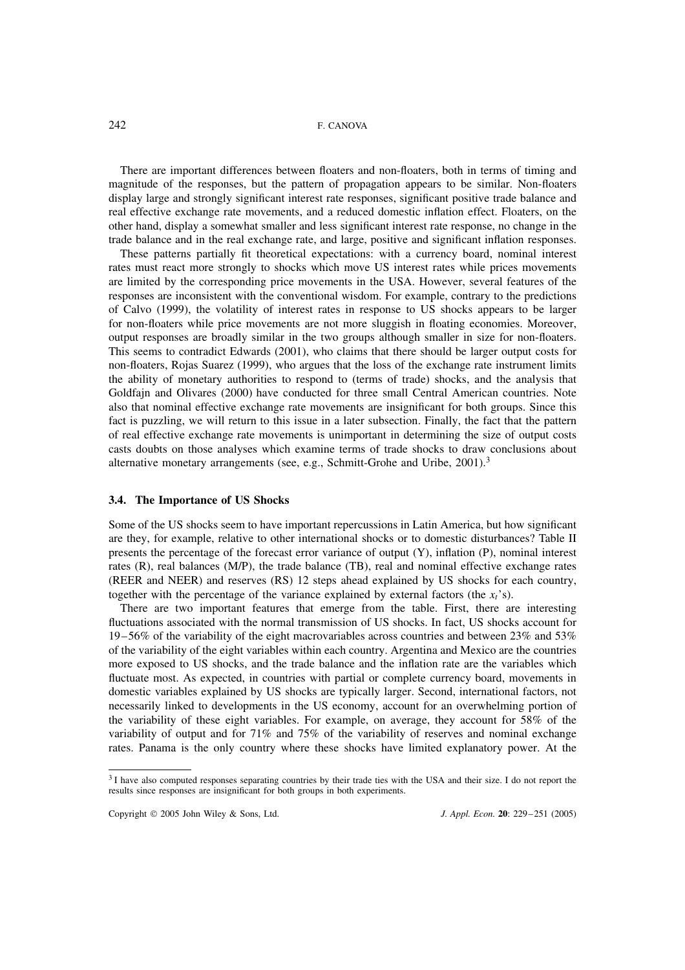There are important differences between floaters and non-floaters, both in terms of timing and magnitude of the responses, but the pattern of propagation appears to be similar. Non-floaters display large and strongly significant interest rate responses, significant positive trade balance and real effective exchange rate movements, and a reduced domestic inflation effect. Floaters, on the other hand, display a somewhat smaller and less significant interest rate response, no change in the trade balance and in the real exchange rate, and large, positive and significant inflation responses.

These patterns partially fit theoretical expectations: with a currency board, nominal interest rates must react more strongly to shocks which move US interest rates while prices movements are limited by the corresponding price movements in the USA. However, several features of the responses are inconsistent with the conventional wisdom. For example, contrary to the predictions of Calvo (1999), the volatility of interest rates in response to US shocks appears to be larger for non-floaters while price movements are not more sluggish in floating economies. Moreover, output responses are broadly similar in the two groups although smaller in size for non-floaters. This seems to contradict Edwards (2001), who claims that there should be larger output costs for non-floaters, Rojas Suarez (1999), who argues that the loss of the exchange rate instrument limits the ability of monetary authorities to respond to (terms of trade) shocks, and the analysis that Goldfajn and Olivares (2000) have conducted for three small Central American countries. Note also that nominal effective exchange rate movements are insignificant for both groups. Since this fact is puzzling, we will return to this issue in a later subsection. Finally, the fact that the pattern of real effective exchange rate movements is unimportant in determining the size of output costs casts doubts on those analyses which examine terms of trade shocks to draw conclusions about alternative monetary arrangements (see, e.g., Schmitt-Grohe and Uribe, 2001).<sup>3</sup>

#### **3.4. The Importance of US Shocks**

Some of the US shocks seem to have important repercussions in Latin America, but how significant are they, for example, relative to other international shocks or to domestic disturbances? Table II presents the percentage of the forecast error variance of output (Y), inflation (P), nominal interest rates (R), real balances (M/P), the trade balance (TB), real and nominal effective exchange rates (REER and NEER) and reserves (RS) 12 steps ahead explained by US shocks for each country, together with the percentage of the variance explained by external factors (the  $x_t$ 's).

There are two important features that emerge from the table. First, there are interesting fluctuations associated with the normal transmission of US shocks. In fact, US shocks account for 19–56% of the variability of the eight macrovariables across countries and between 23% and 53% of the variability of the eight variables within each country. Argentina and Mexico are the countries more exposed to US shocks, and the trade balance and the inflation rate are the variables which fluctuate most. As expected, in countries with partial or complete currency board, movements in domestic variables explained by US shocks are typically larger. Second, international factors, not necessarily linked to developments in the US economy, account for an overwhelming portion of the variability of these eight variables. For example, on average, they account for 58% of the variability of output and for 71% and 75% of the variability of reserves and nominal exchange rates. Panama is the only country where these shocks have limited explanatory power. At the

 $3$  I have also computed responses separating countries by their trade ties with the USA and their size. I do not report the results since responses are insignificant for both groups in both experiments.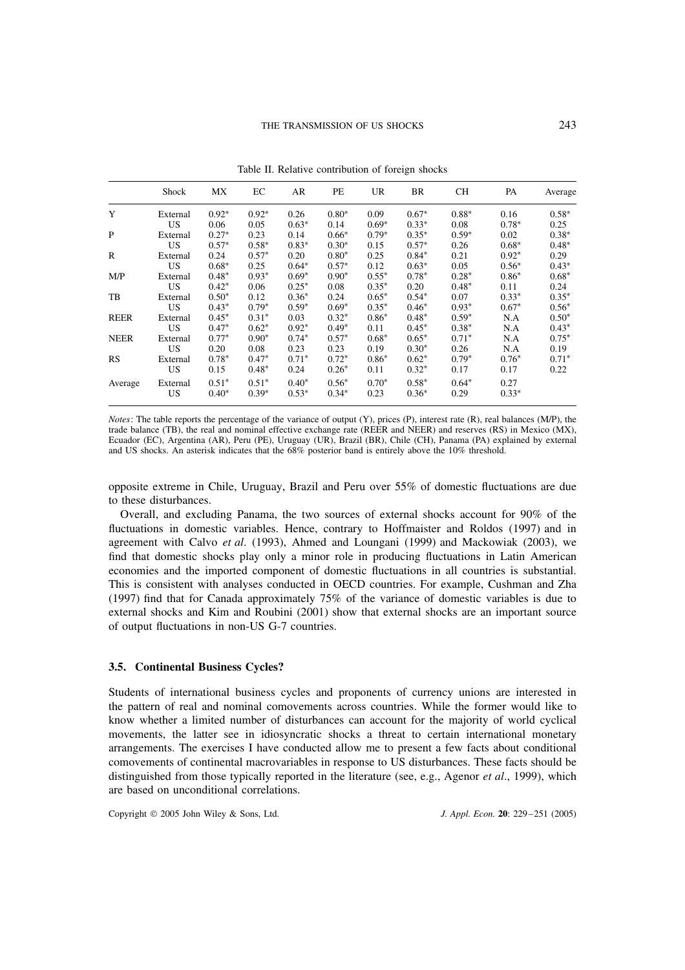|              | <b>Shock</b> | MX      | EC      | AR      | PE      | <b>UR</b> | <b>BR</b> | <b>CH</b> | PA      | Average |
|--------------|--------------|---------|---------|---------|---------|-----------|-----------|-----------|---------|---------|
| Y            | External     | $0.92*$ | $0.92*$ | 0.26    | $0.80*$ | 0.09      | $0.67*$   | $0.88*$   | 0.16    | $0.58*$ |
|              | <b>US</b>    | 0.06    | 0.05    | $0.63*$ | 0.14    | $0.69*$   | $0.33*$   | 0.08      | $0.78*$ | 0.25    |
| P            | External     | $0.27*$ | 0.23    | 0.14    | $0.66*$ | $0.79*$   | $0.35*$   | $0.59*$   | 0.02    | $0.38*$ |
|              | <b>US</b>    | $0.57*$ | $0.58*$ | $0.83*$ | $0.30*$ | 0.15      | $0.57*$   | 0.26      | $0.68*$ | $0.48*$ |
| $\mathbb{R}$ | External     | 0.24    | $0.57*$ | 0.20    | $0.80*$ | 0.25      | $0.84*$   | 0.21      | $0.92*$ | 0.29    |
|              | <b>US</b>    | $0.68*$ | 0.25    | $0.64*$ | $0.57*$ | 0.12      | $0.63*$   | 0.05      | $0.56*$ | $0.43*$ |
| M/P          | External     | $0.48*$ | $0.93*$ | $0.69*$ | $0.90*$ | $0.55*$   | $0.78*$   | $0.28*$   | $0.86*$ | $0.68*$ |
|              | <b>US</b>    | $0.42*$ | 0.06    | $0.25*$ | 0.08    | $0.35*$   | 0.20      | $0.48*$   | 0.11    | 0.24    |
| TB           | External     | $0.50*$ | 0.12    | $0.36*$ | 0.24    | $0.65*$   | $0.54*$   | 0.07      | $0.33*$ | $0.35*$ |
|              | <b>US</b>    | $0.43*$ | $0.79*$ | $0.59*$ | $0.69*$ | $0.35*$   | $0.46*$   | $0.93*$   | $0.67*$ | $0.56*$ |
| <b>REER</b>  | External     | $0.45*$ | $0.31*$ | 0.03    | $0.32*$ | $0.86*$   | $0.48*$   | $0.59*$   | N.A     | $0.50*$ |
|              | <b>US</b>    | $0.47*$ | $0.62*$ | $0.92*$ | $0.49*$ | 0.11      | $0.45*$   | $0.38*$   | N.A     | $0.43*$ |
| <b>NEER</b>  | External     | $0.77*$ | $0.90*$ | $0.74*$ | $0.57*$ | $0.68*$   | $0.65*$   | $0.71*$   | N.A     | $0.75*$ |
|              | <b>US</b>    | 0.20    | 0.08    | 0.23    | 0.23    | 0.19      | $0.30*$   | 0.26      | N.A     | 0.19    |
| RS           | External     | $0.78*$ | $0.47*$ | $0.71*$ | $0.72*$ | $0.86*$   | $0.62*$   | $0.79*$   | $0.76*$ | $0.71*$ |
|              | <b>US</b>    | 0.15    | $0.48*$ | 0.24    | $0.26*$ | 0.11      | $0.32*$   | 0.17      | 0.17    | 0.22    |
| Average      | External     | $0.51*$ | $0.51*$ | $0.40*$ | $0.56*$ | $0.70*$   | $0.58*$   | $0.64*$   | 0.27    |         |
|              | US           | $0.40*$ | $0.39*$ | $0.53*$ | $0.34*$ | 0.23      | $0.36*$   | 0.29      | $0.33*$ |         |

Table II. Relative contribution of foreign shocks

*Notes*: The table reports the percentage of the variance of output (Y), prices (P), interest rate (R), real balances (M/P), the trade balance (TB), the real and nominal effective exchange rate (REER and NEER) and reserves (RS) in Mexico (MX), Ecuador (EC), Argentina (AR), Peru (PE), Uruguay (UR), Brazil (BR), Chile (CH), Panama (PA) explained by external and US shocks. An asterisk indicates that the 68% posterior band is entirely above the 10% threshold.

opposite extreme in Chile, Uruguay, Brazil and Peru over 55% of domestic fluctuations are due to these disturbances.

Overall, and excluding Panama, the two sources of external shocks account for 90% of the fluctuations in domestic variables. Hence, contrary to Hoffmaister and Roldos (1997) and in agreement with Calvo *et al*. (1993), Ahmed and Loungani (1999) and Mackowiak (2003), we find that domestic shocks play only a minor role in producing fluctuations in Latin American economies and the imported component of domestic fluctuations in all countries is substantial. This is consistent with analyses conducted in OECD countries. For example, Cushman and Zha (1997) find that for Canada approximately 75% of the variance of domestic variables is due to external shocks and Kim and Roubini (2001) show that external shocks are an important source of output fluctuations in non-US G-7 countries.

# **3.5. Continental Business Cycles?**

Students of international business cycles and proponents of currency unions are interested in the pattern of real and nominal comovements across countries. While the former would like to know whether a limited number of disturbances can account for the majority of world cyclical movements, the latter see in idiosyncratic shocks a threat to certain international monetary arrangements. The exercises I have conducted allow me to present a few facts about conditional comovements of continental macrovariables in response to US disturbances. These facts should be distinguished from those typically reported in the literature (see, e.g., Agenor *et al*., 1999), which are based on unconditional correlations.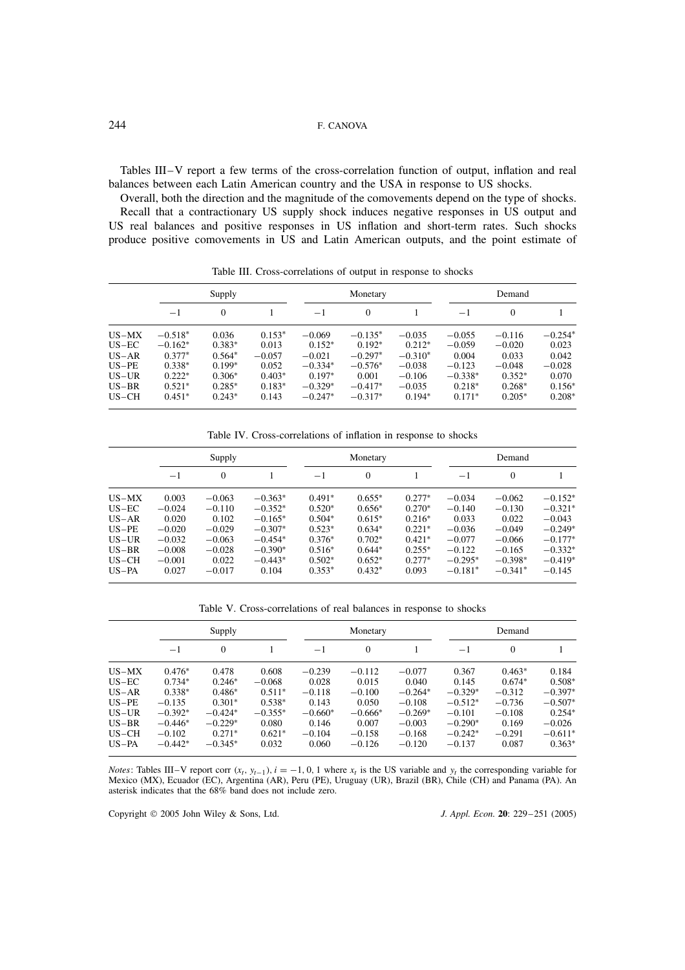Tables III–V report a few terms of the cross-correlation function of output, inflation and real balances between each Latin American country and the USA in response to US shocks.

Overall, both the direction and the magnitude of the comovements depend on the type of shocks. Recall that a contractionary US supply shock induces negative responses in US output and US real balances and positive responses in US inflation and short-term rates. Such shocks produce positive comovements in US and Latin American outputs, and the point estimate of

|         | Supply    |          |          | Monetary  |           |           | Demand    |              |           |  |
|---------|-----------|----------|----------|-----------|-----------|-----------|-----------|--------------|-----------|--|
|         | $-1$      | $\theta$ |          | $-1$      | $\Omega$  |           | $-1$      | $\mathbf{0}$ |           |  |
| $US-MX$ | $-0.518*$ | 0.036    | $0.153*$ | $-0.069$  | $-0.135*$ | $-0.035$  | $-0.055$  | $-0.116$     | $-0.254*$ |  |
| $US-EC$ | $-0.162*$ | $0.383*$ | 0.013    | $0.152*$  | $0.192*$  | $0.212*$  | $-0.059$  | $-0.020$     | 0.023     |  |
| $US-AR$ | $0.377*$  | $0.564*$ | $-0.057$ | $-0.021$  | $-0.297*$ | $-0.310*$ | 0.004     | 0.033        | 0.042     |  |
| $US-PE$ | $0.338*$  | $0.199*$ | 0.052    | $-0.334*$ | $-0.576*$ | $-0.038$  | $-0.123$  | $-0.048$     | $-0.028$  |  |
| $US-UR$ | $0.222*$  | $0.306*$ | $0.403*$ | $0.197*$  | 0.001     | $-0.106$  | $-0.338*$ | $0.352*$     | 0.070     |  |
| $US-BR$ | $0.521*$  | $0.285*$ | $0.183*$ | $-0.329*$ | $-0.417*$ | $-0.035$  | $0.218*$  | $0.268*$     | $0.156*$  |  |
| US-CH   | $0.451*$  | $0.243*$ | 0.143    | $-0.247*$ | $-0.317*$ | $0.194*$  | $0.171*$  | $0.205*$     | $0.208*$  |  |

Table III. Cross-correlations of output in response to shocks

Table IV. Cross-correlations of inflation in response to shocks

|         |          | Supply       |           |          | Monetary |          |           | Demand       |           |  |
|---------|----------|--------------|-----------|----------|----------|----------|-----------|--------------|-----------|--|
|         | $-1$     | $\mathbf{0}$ |           | $-1$     | $\Omega$ |          | $-1$      | $\mathbf{0}$ |           |  |
| $US-MX$ | 0.003    | $-0.063$     | $-0.363*$ | $0.491*$ | $0.655*$ | $0.277*$ | $-0.034$  | $-0.062$     | $-0.152*$ |  |
| $US-EC$ | $-0.024$ | $-0.110$     | $-0.352*$ | $0.520*$ | $0.656*$ | $0.270*$ | $-0.140$  | $-0.130$     | $-0.321*$ |  |
| $US-AR$ | 0.020    | 0.102        | $-0.165*$ | $0.504*$ | $0.615*$ | $0.216*$ | 0.033     | 0.022        | $-0.043$  |  |
| $US-PE$ | $-0.020$ | $-0.029$     | $-0.307*$ | $0.523*$ | $0.634*$ | $0.221*$ | $-0.036$  | $-0.049$     | $-0.249*$ |  |
| $US-UR$ | $-0.032$ | $-0.063$     | $-0.454*$ | $0.376*$ | $0.702*$ | $0.421*$ | $-0.077$  | $-0.066$     | $-0.177*$ |  |
| $US-BR$ | $-0.008$ | $-0.028$     | $-0.390*$ | $0.516*$ | $0.644*$ | $0.255*$ | $-0.122$  | $-0.165$     | $-0.332*$ |  |
| $US-CH$ | $-0.001$ | 0.022        | $-0.443*$ | $0.502*$ | $0.652*$ | $0.277*$ | $-0.295*$ | $-0.398*$    | $-0.419*$ |  |
| $US-PA$ | 0.027    | $-0.017$     | 0.104     | $0.353*$ | $0.432*$ | 0.093    | $-0.181*$ | $-0.341*$    | $-0.145$  |  |

Table V. Cross-correlations of real balances in response to shocks

|         |           | Supply       |           |           | Monetary  |           |           | Demand       |           |  |
|---------|-----------|--------------|-----------|-----------|-----------|-----------|-----------|--------------|-----------|--|
|         | $-1$      | $\mathbf{0}$ |           | -1        | $\Omega$  |           | $-1$      | $\mathbf{0}$ |           |  |
| $US-MX$ | $0.476*$  | 0.478        | 0.608     | $-0.239$  | $-0.112$  | $-0.077$  | 0.367     | $0.463*$     | 0.184     |  |
| $US-EC$ | $0.734*$  | $0.246*$     | $-0.068$  | 0.028     | 0.015     | 0.040     | 0.145     | $0.674*$     | $0.508*$  |  |
| $US-AR$ | $0.338*$  | $0.486*$     | $0.511*$  | $-0.118$  | $-0.100$  | $-0.264*$ | $-0.329*$ | $-0.312$     | $-0.397*$ |  |
| $US-PE$ | $-0.135$  | $0.301*$     | $0.538*$  | 0.143     | 0.050     | $-0.108$  | $-0.512*$ | $-0.736$     | $-0.507*$ |  |
| $US-UR$ | $-0.392*$ | $-0.424*$    | $-0.355*$ | $-0.660*$ | $-0.666*$ | $-0.269*$ | $-0.101$  | $-0.108$     | $0.254*$  |  |
| $US-BR$ | $-0.446*$ | $-0.229*$    | 0.080     | 0.146     | 0.007     | $-0.003$  | $-0.290*$ | 0.169        | $-0.026$  |  |
| $US-CH$ | $-0.102$  | $0.271*$     | $0.621*$  | $-0.104$  | $-0.158$  | $-0.168$  | $-0.242*$ | $-0.291$     | $-0.611*$ |  |
| $US-PA$ | $-0.442*$ | $-0.345*$    | 0.032     | 0.060     | $-0.126$  | $-0.120$  | $-0.137$  | 0.087        | $0.363*$  |  |

*Notes*: Tables III–V report corr  $(x_t, y_{t-1})$ ,  $i = -1, 0, 1$  where  $x_t$  is the US variable and  $y_t$  the corresponding variable for Mexico (MX), Ecuador (EC), Argentina (AR), Peru (PE), Uruguay (UR), Brazil (BR), Chile (CH) and Panama (PA). An asterisk indicates that the 68% band does not include zero.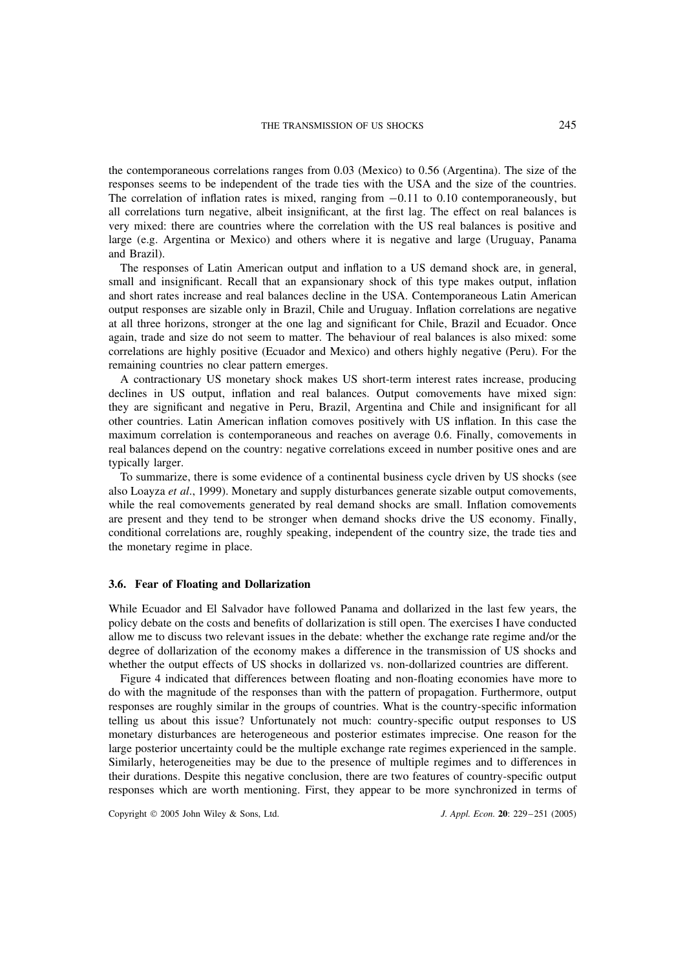the contemporaneous correlations ranges from 0.03 (Mexico) to 0.56 (Argentina). The size of the responses seems to be independent of the trade ties with the USA and the size of the countries. The correlation of inflation rates is mixed, ranging from  $-0.11$  to 0.10 contemporaneously, but all correlations turn negative, albeit insignificant, at the first lag. The effect on real balances is very mixed: there are countries where the correlation with the US real balances is positive and large (e.g. Argentina or Mexico) and others where it is negative and large (Uruguay, Panama and Brazil).

The responses of Latin American output and inflation to a US demand shock are, in general, small and insignificant. Recall that an expansionary shock of this type makes output, inflation and short rates increase and real balances decline in the USA. Contemporaneous Latin American output responses are sizable only in Brazil, Chile and Uruguay. Inflation correlations are negative at all three horizons, stronger at the one lag and significant for Chile, Brazil and Ecuador. Once again, trade and size do not seem to matter. The behaviour of real balances is also mixed: some correlations are highly positive (Ecuador and Mexico) and others highly negative (Peru). For the remaining countries no clear pattern emerges.

A contractionary US monetary shock makes US short-term interest rates increase, producing declines in US output, inflation and real balances. Output comovements have mixed sign: they are significant and negative in Peru, Brazil, Argentina and Chile and insignificant for all other countries. Latin American inflation comoves positively with US inflation. In this case the maximum correlation is contemporaneous and reaches on average 0.6. Finally, comovements in real balances depend on the country: negative correlations exceed in number positive ones and are typically larger.

To summarize, there is some evidence of a continental business cycle driven by US shocks (see also Loayza *et al*., 1999). Monetary and supply disturbances generate sizable output comovements, while the real comovements generated by real demand shocks are small. Inflation comovements are present and they tend to be stronger when demand shocks drive the US economy. Finally, conditional correlations are, roughly speaking, independent of the country size, the trade ties and the monetary regime in place.

## **3.6. Fear of Floating and Dollarization**

While Ecuador and El Salvador have followed Panama and dollarized in the last few years, the policy debate on the costs and benefits of dollarization is still open. The exercises I have conducted allow me to discuss two relevant issues in the debate: whether the exchange rate regime and/or the degree of dollarization of the economy makes a difference in the transmission of US shocks and whether the output effects of US shocks in dollarized vs. non-dollarized countries are different.

Figure 4 indicated that differences between floating and non-floating economies have more to do with the magnitude of the responses than with the pattern of propagation. Furthermore, output responses are roughly similar in the groups of countries. What is the country-specific information telling us about this issue? Unfortunately not much: country-specific output responses to US monetary disturbances are heterogeneous and posterior estimates imprecise. One reason for the large posterior uncertainty could be the multiple exchange rate regimes experienced in the sample. Similarly, heterogeneities may be due to the presence of multiple regimes and to differences in their durations. Despite this negative conclusion, there are two features of country-specific output responses which are worth mentioning. First, they appear to be more synchronized in terms of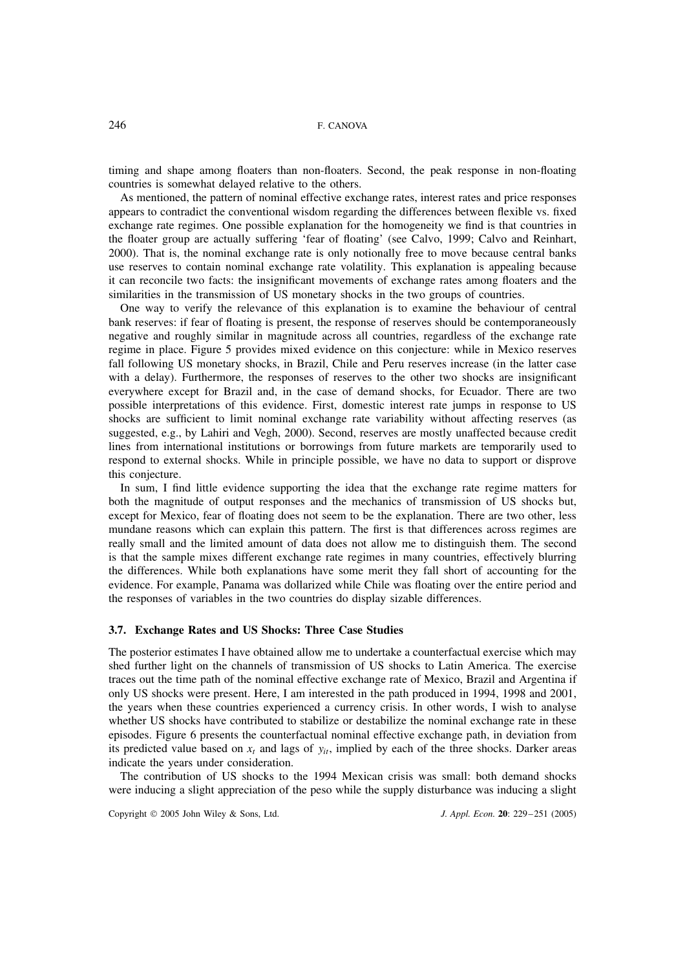timing and shape among floaters than non-floaters. Second, the peak response in non-floating countries is somewhat delayed relative to the others.

As mentioned, the pattern of nominal effective exchange rates, interest rates and price responses appears to contradict the conventional wisdom regarding the differences between flexible vs. fixed exchange rate regimes. One possible explanation for the homogeneity we find is that countries in the floater group are actually suffering 'fear of floating' (see Calvo, 1999; Calvo and Reinhart, 2000). That is, the nominal exchange rate is only notionally free to move because central banks use reserves to contain nominal exchange rate volatility. This explanation is appealing because it can reconcile two facts: the insignificant movements of exchange rates among floaters and the similarities in the transmission of US monetary shocks in the two groups of countries.

One way to verify the relevance of this explanation is to examine the behaviour of central bank reserves: if fear of floating is present, the response of reserves should be contemporaneously negative and roughly similar in magnitude across all countries, regardless of the exchange rate regime in place. Figure 5 provides mixed evidence on this conjecture: while in Mexico reserves fall following US monetary shocks, in Brazil, Chile and Peru reserves increase (in the latter case with a delay). Furthermore, the responses of reserves to the other two shocks are insignificant everywhere except for Brazil and, in the case of demand shocks, for Ecuador. There are two possible interpretations of this evidence. First, domestic interest rate jumps in response to US shocks are sufficient to limit nominal exchange rate variability without affecting reserves (as suggested, e.g., by Lahiri and Vegh, 2000). Second, reserves are mostly unaffected because credit lines from international institutions or borrowings from future markets are temporarily used to respond to external shocks. While in principle possible, we have no data to support or disprove this conjecture.

In sum, I find little evidence supporting the idea that the exchange rate regime matters for both the magnitude of output responses and the mechanics of transmission of US shocks but, except for Mexico, fear of floating does not seem to be the explanation. There are two other, less mundane reasons which can explain this pattern. The first is that differences across regimes are really small and the limited amount of data does not allow me to distinguish them. The second is that the sample mixes different exchange rate regimes in many countries, effectively blurring the differences. While both explanations have some merit they fall short of accounting for the evidence. For example, Panama was dollarized while Chile was floating over the entire period and the responses of variables in the two countries do display sizable differences.

## **3.7. Exchange Rates and US Shocks: Three Case Studies**

The posterior estimates I have obtained allow me to undertake a counterfactual exercise which may shed further light on the channels of transmission of US shocks to Latin America. The exercise traces out the time path of the nominal effective exchange rate of Mexico, Brazil and Argentina if only US shocks were present. Here, I am interested in the path produced in 1994, 1998 and 2001, the years when these countries experienced a currency crisis. In other words, I wish to analyse whether US shocks have contributed to stabilize or destabilize the nominal exchange rate in these episodes. Figure 6 presents the counterfactual nominal effective exchange path, in deviation from its predicted value based on  $x_t$  and lags of  $y_{it}$ , implied by each of the three shocks. Darker areas indicate the years under consideration.

The contribution of US shocks to the 1994 Mexican crisis was small: both demand shocks were inducing a slight appreciation of the peso while the supply disturbance was inducing a slight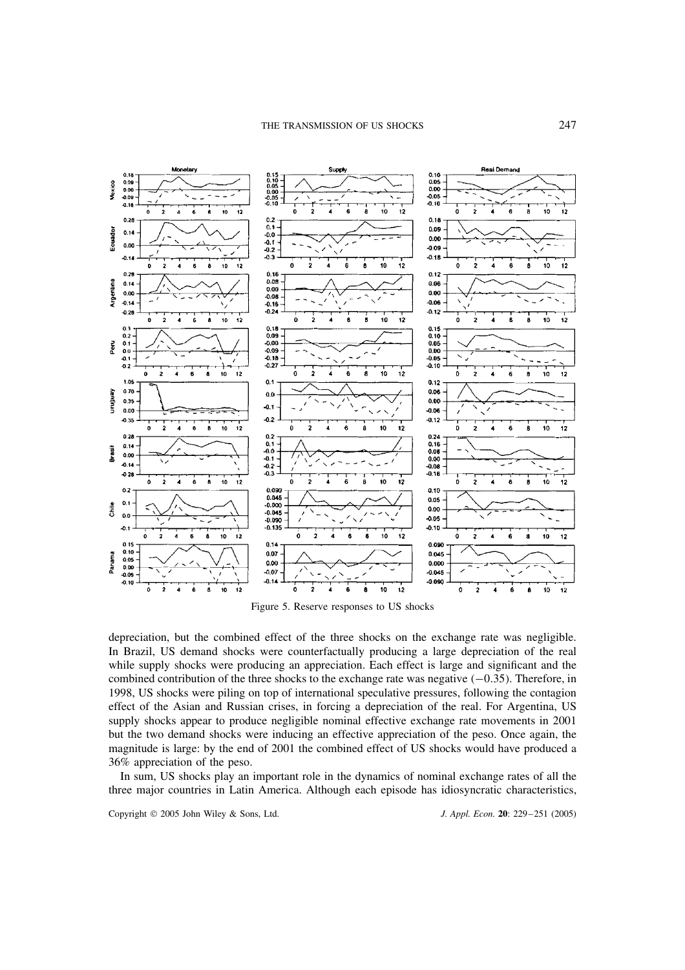

Figure 5. Reserve responses to US shocks

depreciation, but the combined effect of the three shocks on the exchange rate was negligible. In Brazil, US demand shocks were counterfactually producing a large depreciation of the real while supply shocks were producing an appreciation. Each effect is large and significant and the combined contribution of the three shocks to the exchange rate was negative  $(-0.35)$ . Therefore, in 1998, US shocks were piling on top of international speculative pressures, following the contagion effect of the Asian and Russian crises, in forcing a depreciation of the real. For Argentina, US supply shocks appear to produce negligible nominal effective exchange rate movements in 2001 but the two demand shocks were inducing an effective appreciation of the peso. Once again, the magnitude is large: by the end of 2001 the combined effect of US shocks would have produced a 36% appreciation of the peso.

In sum, US shocks play an important role in the dynamics of nominal exchange rates of all the three major countries in Latin America. Although each episode has idiosyncratic characteristics,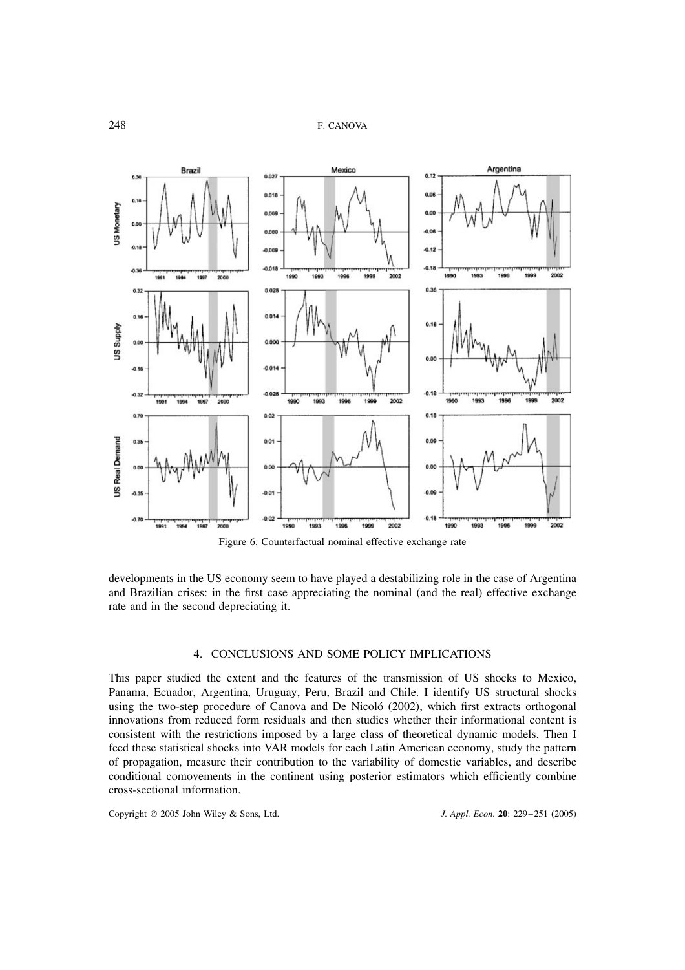

Figure 6. Counterfactual nominal effective exchange rate

developments in the US economy seem to have played a destabilizing role in the case of Argentina and Brazilian crises: in the first case appreciating the nominal (and the real) effective exchange rate and in the second depreciating it.

## 4. CONCLUSIONS AND SOME POLICY IMPLICATIONS

This paper studied the extent and the features of the transmission of US shocks to Mexico, Panama, Ecuador, Argentina, Uruguay, Peru, Brazil and Chile. I identify US structural shocks using the two-step procedure of Canova and De Nicoló (2002), which first extracts orthogonal innovations from reduced form residuals and then studies whether their informational content is consistent with the restrictions imposed by a large class of theoretical dynamic models. Then I feed these statistical shocks into VAR models for each Latin American economy, study the pattern of propagation, measure their contribution to the variability of domestic variables, and describe conditional comovements in the continent using posterior estimators which efficiently combine cross-sectional information.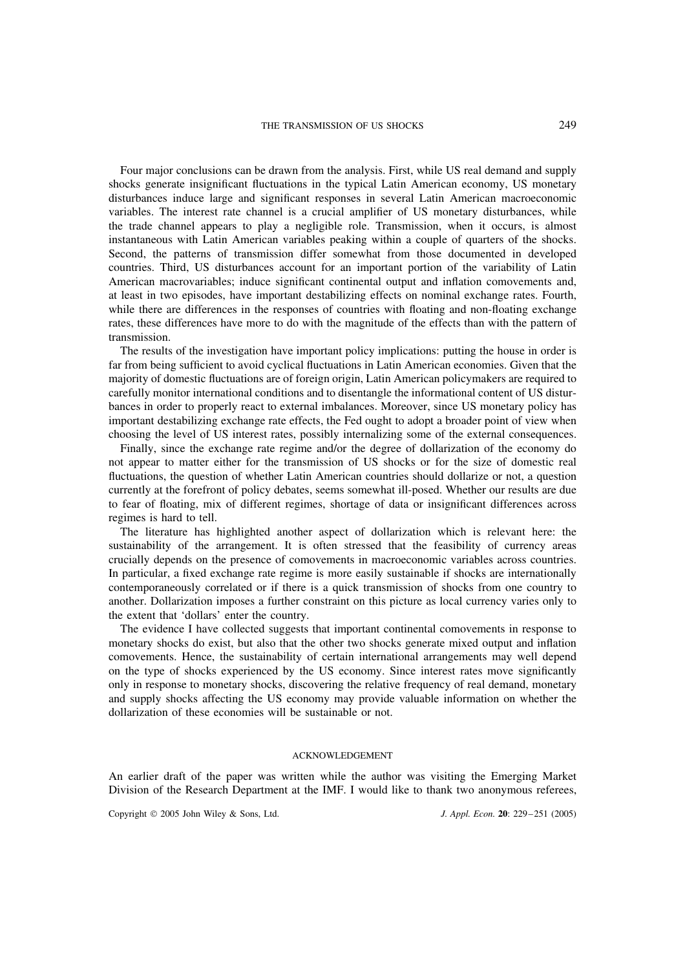Four major conclusions can be drawn from the analysis. First, while US real demand and supply shocks generate insignificant fluctuations in the typical Latin American economy, US monetary disturbances induce large and significant responses in several Latin American macroeconomic variables. The interest rate channel is a crucial amplifier of US monetary disturbances, while the trade channel appears to play a negligible role. Transmission, when it occurs, is almost instantaneous with Latin American variables peaking within a couple of quarters of the shocks. Second, the patterns of transmission differ somewhat from those documented in developed countries. Third, US disturbances account for an important portion of the variability of Latin American macrovariables; induce significant continental output and inflation comovements and, at least in two episodes, have important destabilizing effects on nominal exchange rates. Fourth, while there are differences in the responses of countries with floating and non-floating exchange rates, these differences have more to do with the magnitude of the effects than with the pattern of transmission.

The results of the investigation have important policy implications: putting the house in order is far from being sufficient to avoid cyclical fluctuations in Latin American economies. Given that the majority of domestic fluctuations are of foreign origin, Latin American policymakers are required to carefully monitor international conditions and to disentangle the informational content of US disturbances in order to properly react to external imbalances. Moreover, since US monetary policy has important destabilizing exchange rate effects, the Fed ought to adopt a broader point of view when choosing the level of US interest rates, possibly internalizing some of the external consequences.

Finally, since the exchange rate regime and/or the degree of dollarization of the economy do not appear to matter either for the transmission of US shocks or for the size of domestic real fluctuations, the question of whether Latin American countries should dollarize or not, a question currently at the forefront of policy debates, seems somewhat ill-posed. Whether our results are due to fear of floating, mix of different regimes, shortage of data or insignificant differences across regimes is hard to tell.

The literature has highlighted another aspect of dollarization which is relevant here: the sustainability of the arrangement. It is often stressed that the feasibility of currency areas crucially depends on the presence of comovements in macroeconomic variables across countries. In particular, a fixed exchange rate regime is more easily sustainable if shocks are internationally contemporaneously correlated or if there is a quick transmission of shocks from one country to another. Dollarization imposes a further constraint on this picture as local currency varies only to the extent that 'dollars' enter the country.

The evidence I have collected suggests that important continental comovements in response to monetary shocks do exist, but also that the other two shocks generate mixed output and inflation comovements. Hence, the sustainability of certain international arrangements may well depend on the type of shocks experienced by the US economy. Since interest rates move significantly only in response to monetary shocks, discovering the relative frequency of real demand, monetary and supply shocks affecting the US economy may provide valuable information on whether the dollarization of these economies will be sustainable or not.

#### ACKNOWLEDGEMENT

An earlier draft of the paper was written while the author was visiting the Emerging Market Division of the Research Department at the IMF. I would like to thank two anonymous referees,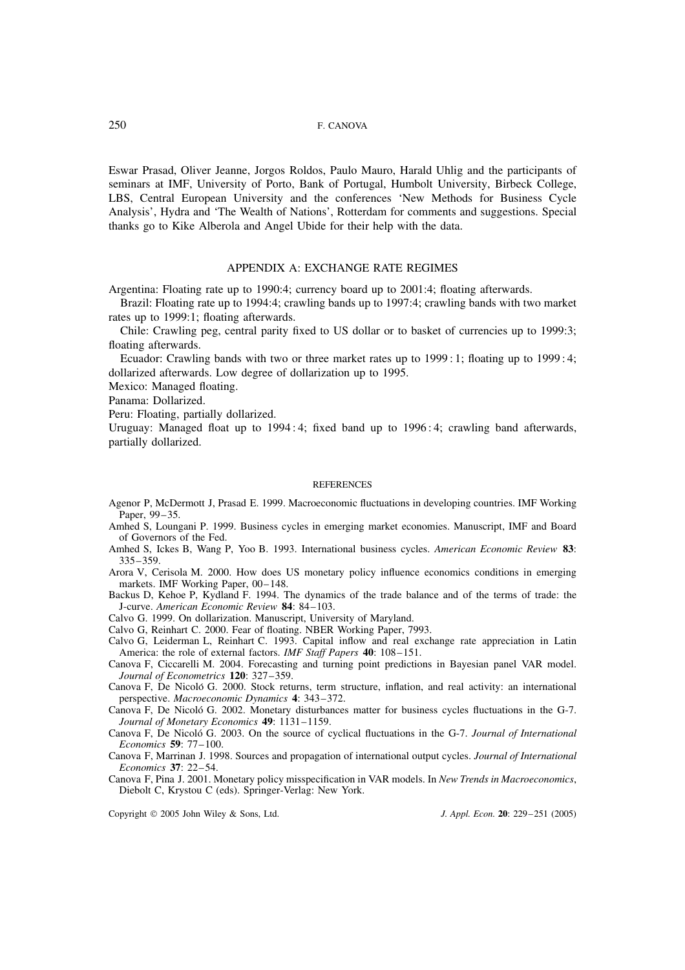Eswar Prasad, Oliver Jeanne, Jorgos Roldos, Paulo Mauro, Harald Uhlig and the participants of seminars at IMF, University of Porto, Bank of Portugal, Humbolt University, Birbeck College, LBS, Central European University and the conferences 'New Methods for Business Cycle Analysis', Hydra and 'The Wealth of Nations', Rotterdam for comments and suggestions. Special thanks go to Kike Alberola and Angel Ubide for their help with the data.

## APPENDIX A: EXCHANGE RATE REGIMES

Argentina: Floating rate up to 1990:4; currency board up to 2001:4; floating afterwards.

Brazil: Floating rate up to 1994:4; crawling bands up to 1997:4; crawling bands with two market rates up to 1999:1; floating afterwards.

Chile: Crawling peg, central parity fixed to US dollar or to basket of currencies up to 1999:3; floating afterwards.

Ecuador: Crawling bands with two or three market rates up to 1999 : 1; floating up to 1999 : 4; dollarized afterwards. Low degree of dollarization up to 1995.

Mexico: Managed floating.

Panama: Dollarized.

Peru: Floating, partially dollarized.

Uruguay: Managed float up to 1994:4; fixed band up to 1996:4; crawling band afterwards, partially dollarized.

#### **REFERENCES**

Agenor P, McDermott J, Prasad E. 1999. Macroeconomic fluctuations in developing countries. IMF Working Paper, 99–35.

Amhed S, Loungani P. 1999. Business cycles in emerging market economies. Manuscript, IMF and Board of Governors of the Fed.

Amhed S, Ickes B, Wang P, Yoo B. 1993. International business cycles. *American Economic Review* **83**: 335–359.

Arora V, Cerisola M. 2000. How does US monetary policy influence economics conditions in emerging markets. IMF Working Paper, 00–148.

Backus D, Kehoe P, Kydland F. 1994. The dynamics of the trade balance and of the terms of trade: the J-curve. *American Economic Review* **84**: 84–103.

Calvo G. 1999. On dollarization. Manuscript, University of Maryland.

Calvo G, Reinhart C. 2000. Fear of floating. NBER Working Paper, 7993.

Calvo G, Leiderman L, Reinhart C. 1993. Capital inflow and real exchange rate appreciation in Latin America: the role of external factors. *IMF Staff Papers* **40**: 108–151.

Canova F, Ciccarelli M. 2004. Forecasting and turning point predictions in Bayesian panel VAR model. *Journal of Econometrics* **120**: 327–359.

Canova F, De Nicoló G. 2000. Stock returns, term structure, inflation, and real activity: an international perspective. *Macroeconomic Dynamics* **4**: 343–372.

Canova F, De Nicoló G. 2002. Monetary disturbances matter for business cycles fluctuations in the G-7. *Journal of Monetary Economics* **49**: 1131–1159.

Canova F, De Nicoló G. 2003. On the source of cyclical fluctuations in the G-7. *Journal of International Economics* **59**: 77–100.

Canova F, Marrinan J. 1998. Sources and propagation of international output cycles. *Journal of International Economics* **37**: 22–54.

Canova F, Pina J. 2001. Monetary policy misspecification in VAR models. In *New Trends in Macroeconomics*, Diebolt C, Krystou C (eds). Springer-Verlag: New York.